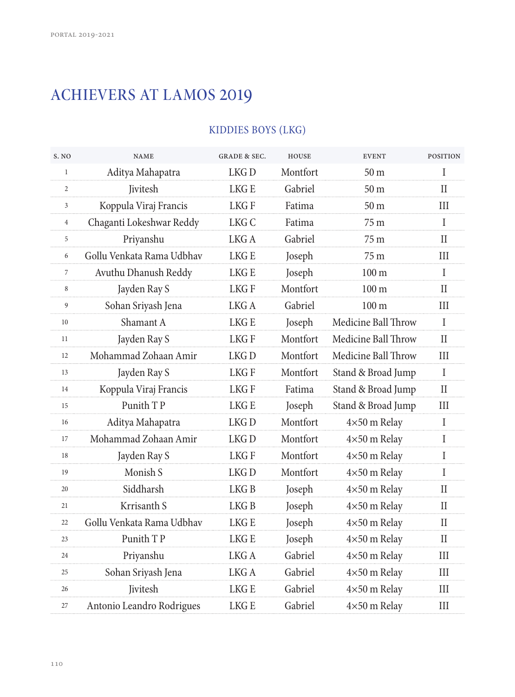# ACHIEVERS AT LAMOS 2019

## KIDDIES BOYS (LKG)

| S. NO          | <b>NAME</b>               | <b>GRADE &amp; SEC.</b> | <b>HOUSE</b> | <b>EVENT</b>        | <b>POSITION</b> |
|----------------|---------------------------|-------------------------|--------------|---------------------|-----------------|
| $\mathbf{1}$   | Aditya Mahapatra          | LKG <sub>D</sub>        | Montfort     | 50 <sub>m</sub>     | T               |
| $\overline{2}$ | <b>Jivitesh</b>           | LKG E                   | Gabriel      | 50 <sub>m</sub>     | $\mathbf{I}$    |
| 3              | Koppula Viraj Francis     | LKG F                   | Fatima       | 50 <sub>m</sub>     | Ш               |
| $\overline{4}$ | Chaganti Lokeshwar Reddy  | LKG C                   | Fatima       | 75 m                | $\mathbf{I}$    |
| 5              | Priyanshu                 | LKG A                   | Gabriel      | 75 m                | $\mathbf{I}$    |
| 6              | Gollu Venkata Rama Udbhav | LKG E                   | Joseph       | 75 m                | Ш               |
| $\overline{7}$ | Avuthu Dhanush Reddy      | LKG E                   | Joseph       | $100 \text{ m}$     | $\mathbf{I}$    |
| 8              | Jayden Ray S              | <b>LKGF</b>             | Montfort     | 100 <sub>m</sub>    | $\mathbf{I}$    |
| 9              | Sohan Sriyash Jena        | LKG A                   | Gabriel      | 100 <sub>m</sub>    | Ш               |
| 10             | Shamant A                 | LKG E                   | Joseph       | Medicine Ball Throw | $\mathsf{I}$    |
| 11             | Jayden Ray S              | LKG F                   | Montfort     | Medicine Ball Throw | $\mathbf{I}$    |
| 12             | Mohammad Zohaan Amir      | LKG D                   | Montfort     | Medicine Ball Throw | Ш               |
| 13             | Jayden Ray S              | LKG F                   | Montfort     | Stand & Broad Jump  | $\mathbf{I}$    |
| 14             | Koppula Viraj Francis     | <b>LKGF</b>             | Fatima       | Stand & Broad Jump  | $\rm II$        |
| 15             | Punith TP                 | LKG E                   | Joseph       | Stand & Broad Jump  | III             |
| 16             | Aditya Mahapatra          | LKG <sub>D</sub>        | Montfort     | 4×50 m Relay        | $\mathbf{I}$    |
| 17             | Mohammad Zohaan Amir      | LKG <sub>D</sub>        | Montfort     | $4\times50$ m Relay | $\mathsf{I}$    |
| 18             | Jayden Ray S              | LKG F                   | Montfort     | $4\times50$ m Relay | I               |
| 19             | Monish S                  | LKG <sub>D</sub>        | Montfort     | 4×50 m Relay        | I               |
| 20             | Siddharsh                 | LKG <sub>B</sub>        | Joseph       | 4×50 m Relay        | $\mathbf{I}$    |
| 21             | Krrisanth S               | LKG B                   | Joseph       | 4×50 m Relay        | П               |
| 22             | Gollu Venkata Rama Udbhav | LKG E                   | Joseph       | 4×50 m Relay        | $_{\rm II}$     |
| 23             | Punith TP                 | <b>LKGE</b>             | Joseph       | $4\times50$ m Relay | $\rm II$        |
| 24             | Priyanshu                 | LKG A                   | Gabriel      | 4×50 m Relay        | Ш               |
| 25             | Sohan Sriyash Jena        | LKG A                   | Gabriel      | 4×50 m Relay        | Ш               |
| 26             | Jivitesh                  | LKG E                   | Gabriel      | $4\times50$ m Relay | III             |
| 27             | Antonio Leandro Rodrigues | LKG E                   | Gabriel      | 4×50 m Relay        | Ш               |
|                |                           |                         |              |                     |                 |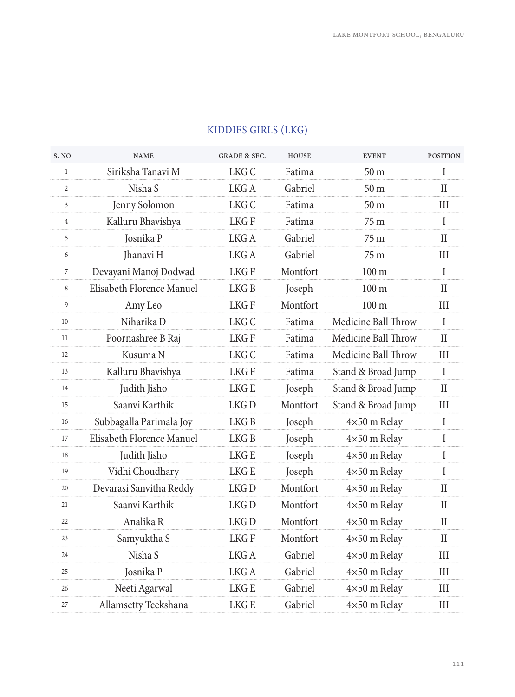| S. NO          | <b>NAME</b>               | <b>GRADE &amp; SEC.</b> | <b>HOUSE</b> | <b>EVENT</b>        | <b>POSITION</b> |
|----------------|---------------------------|-------------------------|--------------|---------------------|-----------------|
| $\mathbf{1}$   | Siriksha Tanavi M         | LKG C                   | Fatima       | 50 m                | T               |
| $\overline{c}$ | Nisha S                   | LKG A                   | Gabriel      | 50 <sub>m</sub>     | $\mathbf{I}$    |
| $\mathbf{3}$   | Jenny Solomon             | LKG C                   | Fatima       | 50 <sub>m</sub>     | Ш               |
| $\overline{4}$ | Kalluru Bhavishya         | LKG F                   | Fatima       | 75 m                | $\mathbf{I}$    |
| 5              | Josnika P                 | LKG A                   | Gabriel      | 75 m                | $\mathbf{I}$    |
| 6              | Jhanavi H                 | LKG A                   | Gabriel      | 75 m                | Ш               |
| $\overline{7}$ | Devayani Manoj Dodwad     | <b>LKGF</b>             | Montfort     | 100 <sub>m</sub>    | $\mathbf{I}$    |
| 8              | Elisabeth Florence Manuel | LKG <sub>B</sub>        | Joseph       | $100 \text{ m}$     | $\rm II$        |
| 9              | Amy Leo                   | LKG F                   | Montfort     | 100 <sub>m</sub>    | III             |
| 10             | Niharika D                | LKG C                   | Fatima       | Medicine Ball Throw | $\mathsf{I}$    |
| 11             | Poornashree B Raj         | LKG F                   | Fatima       | Medicine Ball Throw | $\mathbf{I}$    |
| 12             | Kusuma N                  | LKG C                   | Fatima       | Medicine Ball Throw | III             |
| 13             | Kalluru Bhavishya         | LKG F                   | Fatima       | Stand & Broad Jump  | T               |
| 14             | Judith Jisho              | LKG E                   | Joseph       | Stand & Broad Jump  | H               |
| 15             | Saanvi Karthik            | LKG D                   | Montfort     | Stand & Broad Jump  | III             |
| 16             | Subbagalla Parimala Joy   | LKG <sub>B</sub>        | Joseph       | $4\times50$ m Relay | $\mathbf{I}$    |
| 17             | Elisabeth Florence Manuel | LKG <sub>B</sub>        | Joseph       | 4×50 m Relay        | I               |
| 18             | Judith Jisho              | LKG E                   | Joseph       | 4×50 m Relay        | I               |
| 19             | Vidhi Choudhary           | LKG E                   | Joseph       | $4\times50$ m Relay | I               |
| 20             | Devarasi Sanvitha Reddy   | LKG D                   | Montfort     | $4\times50$ m Relay | Н               |
| 21             | Saanvi Karthik            | LKG <sub>D</sub>        | Montfort     | 4×50 m Relay        | П               |
| 22             | Analika R                 | LKG <sub>D</sub>        | Montfort     | 4×50 m Relay        | $\mathbf{I}$    |
| 23             | Samyuktha S               | LKG F                   | Montfort     | 4×50 m Relay        | $_{\rm II}$     |
| 24             | Nisha S                   | LKG A                   | Gabriel      | $4\times50$ m Relay | Ш               |
| 25             | Josnika P                 | LKG A                   | Gabriel      | $4\times50$ m Relay | III             |
| 26             | Neeti Agarwal             | LKG E                   | Gabriel      | 4×50 m Relay        | Ш               |
| 27             | Allamsetty Teekshana      | <b>LKGE</b>             | Gabriel      | 4×50 m Relay        | III             |
|                |                           |                         |              |                     |                 |

## KIDDIES GIRLS (LKG)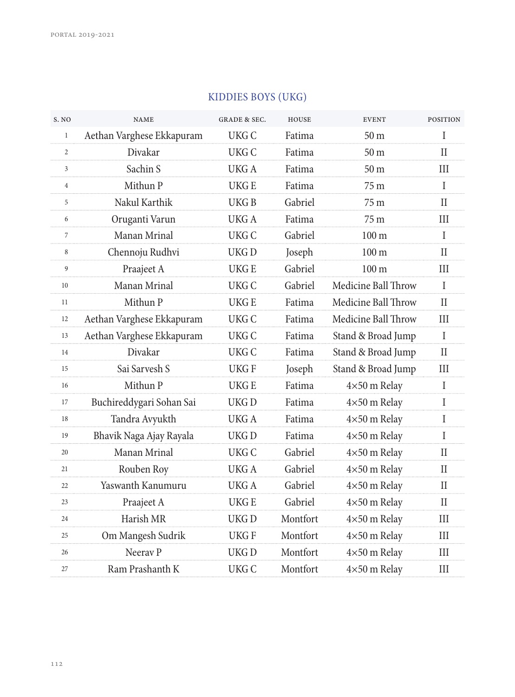| S. NO          | <b>NAME</b>               | <b>GRADE &amp; SEC.</b> | <b>HOUSE</b> | <b>EVENT</b>        | <b>POSITION</b> |
|----------------|---------------------------|-------------------------|--------------|---------------------|-----------------|
| $\mathbf{1}$   | Aethan Varghese Ekkapuram | UKG C                   | Fatima       | 50 <sub>m</sub>     | T               |
| $\overline{c}$ | Divakar                   | UKG C                   | Fatima       | 50 <sub>m</sub>     | H               |
| 3              | Sachin S                  | UKG A                   | Fatima       | 50 <sub>m</sub>     | III             |
| $\overline{4}$ | Mithun P                  | <b>UKGE</b>             | Fatima       | 75 <sub>m</sub>     | $\mathbf I$     |
| 5              | Nakul Karthik             | UKG B                   | Gabriel      | 75 <sub>m</sub>     | H               |
| 6              | Oruganti Varun            | UKG A                   | Fatima       | 75 m                | Ш               |
| 7              | Manan Mrinal              | UKG C                   | Gabriel      | 100 <sub>m</sub>    | $\mathbf I$     |
| 8              | Chennoju Rudhvi           | UKG D                   | Joseph       | 100 <sub>m</sub>    | H               |
| 9              | Praajeet A                | UKG E                   | Gabriel      | 100 <sub>m</sub>    | Ш               |
| 10             | Manan Mrinal              | UKG C                   | Gabriel      | Medicine Ball Throw | $\mathbf{I}$    |
| 11             | Mithun P                  | <b>UKGE</b>             | Fatima       | Medicine Ball Throw | П               |
| 12             | Aethan Varghese Ekkapuram | UKG C                   | Fatima       | Medicine Ball Throw | Ш               |
| 13             | Aethan Varghese Ekkapuram | UKG C                   | Fatima       | Stand & Broad Jump  | I               |
| 14             | Divakar                   | UKG C                   | Fatima       | Stand & Broad Jump  | $\mathbf{I}$    |
| 15             | Sai Sarvesh S             | UKG F                   | Joseph       | Stand & Broad Jump  | III             |
| 16             | Mithun P                  | UKG E                   | Fatima       | $4\times50$ m Relay | I               |
| 17             | Buchireddygari Sohan Sai  | UKG D                   | Fatima       | 4×50 m Relay        | I               |
| 18             | Tandra Avyukth            | UKG A                   | Fatima       | 4×50 m Relay        | T               |
| 19             | Bhavik Naga Ajay Rayala   | UKG D                   | Fatima       | $4\times50$ m Relay | I               |
| 20             | Manan Mrinal              | UKG C                   | Gabriel      | 4×50 m Relay        | П               |
| 21             | Rouben Roy                | UKG A                   | Gabriel      | 4×50 m Relay        | $\mathbf{I}$    |
| 22             | Yaswanth Kanumuru         | UKG A                   | Gabriel      | $4\times50$ m Relay | П               |
| 23             | Praajeet A                | UKG E                   | Gabriel      | 4×50 m Relay        | $\mathbf{I}$    |
| 24             | Harish MR                 | UKG D                   | Montfort     | 4×50 m Relay        | III             |
| 25             | Om Mangesh Sudrik         | UKG F                   | Montfort     | $4\times50$ m Relay | III             |
| 26             | Neeray P                  | UKG <sub>D</sub>        | Montfort     | $4\times50$ m Relay | III             |
| 27             | Ram Prashanth K           | UKG C                   | Montfort     | 4×50 m Relay        | Ш               |

## KIDDIES BOYS (UKG)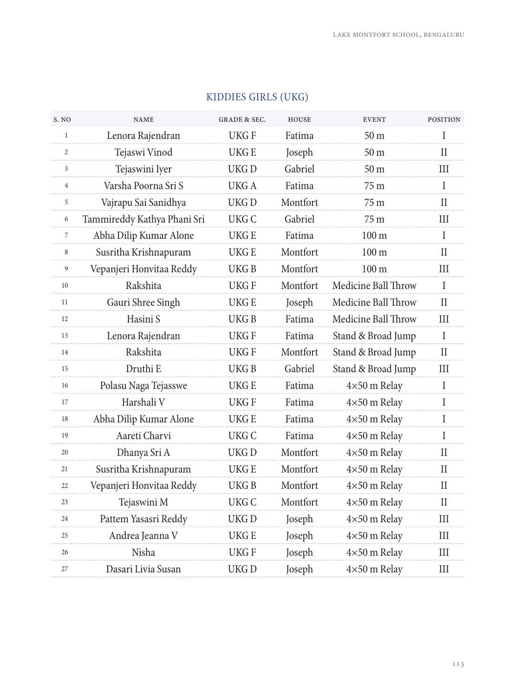| <b>NAME</b>                 | <b>GRADE &amp; SEC.</b> | <b>HOUSE</b> | <b>EVENT</b>        | <b>POSITION</b> |
|-----------------------------|-------------------------|--------------|---------------------|-----------------|
| Lenora Rajendran            | UKG F                   | Fatima       | 50 <sub>m</sub>     | T               |
| Tejaswi Vinod               | UKG E                   | Joseph       | 50 <sub>m</sub>     | Н               |
| Tejaswini Iyer              | UKG D                   | Gabriel      | 50 <sub>m</sub>     | Ш               |
| Varsha Poorna Sri S         | UKG A                   | Fatima       | 75 m                | $\mathbf I$     |
| Vajrapu Sai Sanidhya        | UKG D                   | Montfort     | 75 m                | Н               |
| Tammireddy Kathya Phani Sri | UKG C                   | Gabriel      | 75 <sub>m</sub>     | Ш               |
| Abha Dilip Kumar Alone      | <b>UKGE</b>             | Fatima       | 100 <sub>m</sub>    | $\mathbf I$     |
| Susritha Krishnapuram       | <b>UKGE</b>             | Montfort     | 100 <sub>m</sub>    | Н               |
| Vepanjeri Honvitaa Reddy    | <b>UKGB</b>             | Montfort     | 100 <sub>m</sub>    | III             |
| Rakshita                    | <b>UKGF</b>             | Montfort     | Medicine Ball Throw | $\mathbf{I}$    |
| Gauri Shree Singh           | UKG E                   | Joseph       | Medicine Ball Throw | П               |
| Hasini S                    | <b>UKGB</b>             | Fatima       | Medicine Ball Throw | III             |
| Lenora Rajendran            | UKG F                   | Fatima       | Stand & Broad Jump  | I               |
| Rakshita                    | UKG F                   | Montfort     | Stand & Broad Jump  | $\mathbf{I}$    |
| Druthi E                    | <b>UKGB</b>             | Gabriel      | Stand & Broad Jump  | III             |
| Polasu Naga Tejasswe        | UKG E                   | Fatima       | 4×50 m Relay        | I               |
| Harshali V                  | UKG F                   | Fatima       | 4×50 m Relay        | I               |
| Abha Dilip Kumar Alone      | UKG E                   | Fatima       | 4×50 m Relay        | $\mathbf I$     |
| Aareti Charvi               | <b>UKGC</b>             | Fatima       | 4×50 m Relay        | I               |
| Dhanya Sri A                | UKG D                   | Montfort     | 4×50 m Relay        | П               |
| Susritha Krishnapuram       | UKG E                   | Montfort     | 4×50 m Relay        | $\rm II$        |
| Vepanjeri Honvitaa Reddy    | UKG B                   | Montfort     | 4×50 m Relay        | $_{\rm II}$     |
| Tejaswini M                 | UKG C                   | Montfort     | $4\times50$ m Relay | $\mathbf{I}$    |
| Pattem Yasasri Reddy        | UKG <sub>D</sub>        | Joseph       | 4×50 m Relay        | III             |
| Andrea Jeanna V             | UKG E                   | Joseph       | 4×50 m Relay        | Ш               |
| Nisha                       | UKG F                   | Joseph       | $4\times50$ m Relay | III             |
| Dasari Livia Susan          | UKG <sub>D</sub>        | Joseph       | 4×50 m Relay        | Ш               |
|                             |                         |              |                     |                 |

## KIDDIES GIRLS (UKG)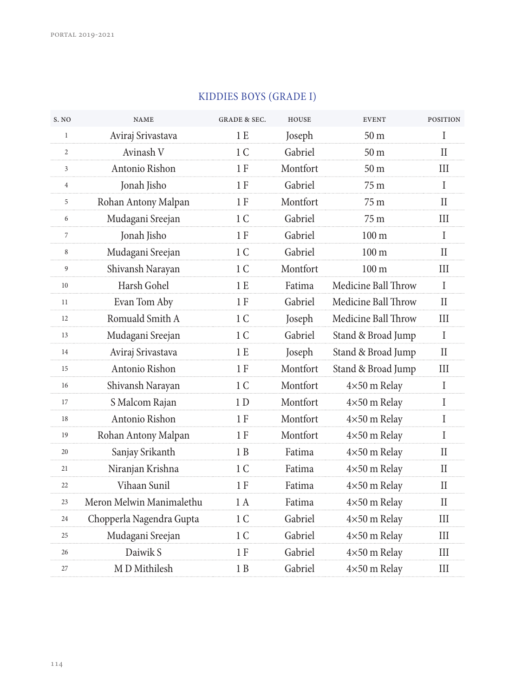| S. NO          | <b>NAME</b>              | <b>GRADE &amp; SEC.</b> | <b>HOUSE</b> | <b>EVENT</b>        | <b>POSITION</b> |
|----------------|--------------------------|-------------------------|--------------|---------------------|-----------------|
| $\mathbf{1}$   | Aviraj Srivastava        | 1E                      | Joseph       | 50 <sub>m</sub>     | I               |
| $\overline{2}$ | Avinash V                | 1 <sup>C</sup>          | Gabriel      | 50 <sub>m</sub>     | П               |
| 3              | Antonio Rishon           | 1 F                     | Montfort     | 50 <sub>m</sub>     | Ш               |
| $\overline{4}$ | Jonah Jisho              | 1 F                     | Gabriel      | 75 m                | $\mathbf I$     |
| 5              | Rohan Antony Malpan      | 1 F                     | Montfort     | 75 <sub>m</sub>     | H               |
| 6              | Mudagani Sreejan         | 1 C                     | Gabriel      | 75 <sub>m</sub>     | Ш               |
| 7              | Jonah Jisho              | 1F                      | Gabriel      | 100 <sub>m</sub>    | I               |
| 8              | Mudagani Sreejan         | 1 C                     | Gabriel      | 100 <sub>m</sub>    | H               |
| 9              | Shivansh Narayan         | 1 C                     | Montfort     | 100 <sub>m</sub>    | III             |
| 10             | Harsh Gohel              | 1E                      | Fatima       | Medicine Ball Throw | $\mathbf I$     |
| 11             | Evan Tom Aby             | 1 F                     | Gabriel      | Medicine Ball Throw | H               |
| 12             | Romuald Smith A          | 1 C                     | Joseph       | Medicine Ball Throw | III             |
| 13             | Mudagani Sreejan         | 1 <sup>C</sup>          | Gabriel      | Stand & Broad Jump  | $\mathbf{I}$    |
| 14             | Aviraj Srivastava        | 1 E                     | Joseph       | Stand & Broad Jump  | $\rm II$        |
| 15             | Antonio Rishon           | 1F                      | Montfort     | Stand & Broad Jump  | III             |
| 16             | Shivansh Narayan         | 1 <sup>C</sup>          | Montfort     | 4×50 m Relay        | $\mathbf{I}$    |
| 17             | S Malcom Rajan           | 1D                      | Montfort     | $4\times50$ m Relay | I               |
| 18             | Antonio Rishon           | 1 F                     | Montfort     | 4×50 m Relay        | Ι               |
| 19             | Rohan Antony Malpan      | 1 F                     | Montfort     | 4×50 m Relay        | I               |
| 20             | Sanjay Srikanth          | 1 B                     | Fatima       | $4\times50$ m Relay | П               |
| 21             | Niranjan Krishna         | 1 C                     | Fatima       | 4×50 m Relay        | $\mathbf{H}$    |
| 22             | Vihaan Sunil             | 1F                      | Fatima       | 4×50 m Relay        | $\rm II$        |
| 23             | Meron Melwin Manimalethu | 1 A                     | Fatima       | 4×50 m Relay        | H               |
| 24             | Chopperla Nagendra Gupta | 1 <sup>C</sup>          | Gabriel      | 4×50 m Relay        | III             |
| 25             | Mudagani Sreejan         | 1 C                     | Gabriel      | $4\times50$ m Relay | Ш               |
| 26             | Daiwik S                 | 1 F                     | Gabriel      | 4×50 m Relay        | III             |
| 27             | M D Mithilesh            | 1B                      | Gabriel      | 4×50 m Relay        | III             |

#### KIDDIES BOYS (GRADE I)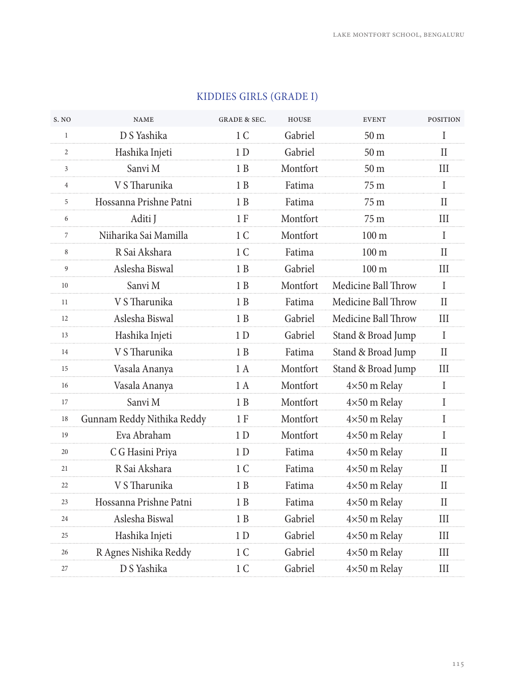| S. NO          | <b>NAME</b>                | <b>GRADE &amp; SEC.</b> | <b>HOUSE</b> | <b>EVENT</b>        | <b>POSITION</b> |
|----------------|----------------------------|-------------------------|--------------|---------------------|-----------------|
| $\mathbf{1}$   | D S Yashika                | 1 <sup>C</sup>          | Gabriel      | 50 <sub>m</sub>     | T               |
| $\overline{2}$ | Hashika Injeti             | 1 <sub>D</sub>          | Gabriel      | 50 <sub>m</sub>     | $\mathbf{I}$    |
| 3              | Sanvi M                    | 1 B                     | Montfort     | 50 <sub>m</sub>     | Ш               |
| 4              | V S Tharunika              | 1 B                     | Fatima       | 75 m                | $\mathbf{I}$    |
| 5              | Hossanna Prishne Patni     | 1 B                     | Fatima       | 75 m                | $\mathbf{I}$    |
| 6              | Aditi J                    | 1 F                     | Montfort     | 75 m                | Ш               |
| $\overline{7}$ | Niiharika Sai Mamilla      | 1 <sup>C</sup>          | Montfort     | 100 <sub>m</sub>    | $\mathsf{I}$    |
| 8              | R Sai Akshara              | 1 <sup>C</sup>          | Fatima       | 100 <sub>m</sub>    | $\mathbf{I}$    |
| 9              | Aslesha Biswal             | 1 B                     | Gabriel      | 100 <sub>m</sub>    | III             |
| 10             | Sanvi M                    | 1B                      | Montfort     | Medicine Ball Throw | $\mathbf{I}$    |
| 11             | V S Tharunika              | 1B                      | Fatima       | Medicine Ball Throw | $\rm II$        |
| 12             | Aslesha Biswal             | $1\;{\rm B}$            | Gabriel      | Medicine Ball Throw | III             |
| 13             | Hashika Injeti             | 1 <sub>D</sub>          | Gabriel      | Stand & Broad Jump  | $\mathbf{I}$    |
| 14             | V S Tharunika              | 1B                      | Fatima       | Stand & Broad Jump  | $\mathbf{I}$    |
| 15             | Vasala Ananya              | 1 A                     | Montfort     | Stand & Broad Jump  | III             |
| 16             | Vasala Ananya              | 1 A                     | Montfort     | 4×50 m Relay        | I               |
| 17             | Sanvi M                    | 1 B                     | Montfort     | $4\times50$ m Relay | I               |
| 18             | Gunnam Reddy Nithika Reddy | 1 F                     | Montfort     | 4×50 m Relay        | I               |
| 19             | Eva Abraham                | 1 <sub>D</sub>          | Montfort     | 4×50 m Relay        | $\mathsf{I}$    |
| 20             | C G Hasini Priya           | 1 D                     | Fatima       | $4\times50$ m Relay | $\mathbf{I}$    |
| 21             | R Sai Akshara              | 1 C                     | Fatima       | 4×50 m Relay        | H               |
| 22             | V S Tharunika              | 1B                      | Fatima       | 4×50 m Relay        | $\mathbf{I}$    |
| 23             | Hossanna Prishne Patni     | 1B                      | Fatima       | 4×50 m Relay        | $\rm{II}$       |
| 24             | Aslesha Biswal             | 1 B                     | Gabriel      | 4×50 m Relay        | Ш               |
| 25             | Hashika Injeti             | 1 <sub>D</sub>          | Gabriel      | 4×50 m Relay        | III             |
| 26             | R Agnes Nishika Reddy      | 1 C                     | Gabriel      | 4×50 m Relay        | III             |
| 27             | D S Yashika                | 1 <sup>C</sup>          | Gabriel      | 4×50 m Relay        | III             |
|                |                            |                         |              |                     |                 |

## KIDDIES GIRLS (GRADE I)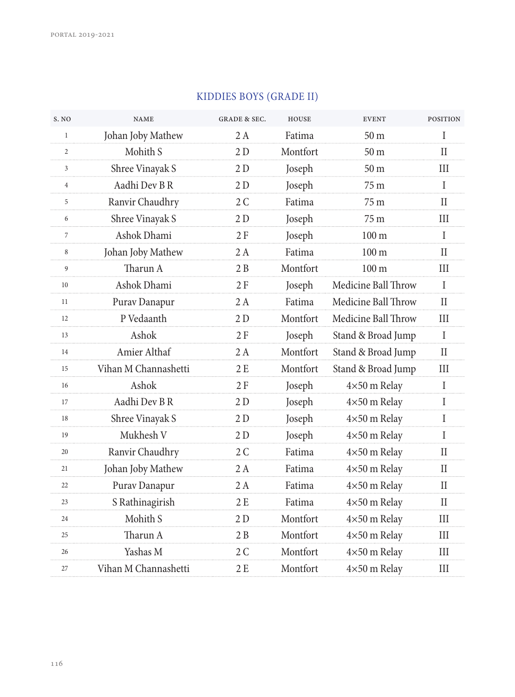| S. NO          | <b>NAME</b>          | <b>GRADE &amp; SEC.</b> | <b>HOUSE</b> | <b>EVENT</b>        | <b>POSITION</b> |
|----------------|----------------------|-------------------------|--------------|---------------------|-----------------|
| $\mathbf{1}$   | Johan Joby Mathew    | 2A                      | Fatima       | 50 <sub>m</sub>     | Ī               |
| $\overline{c}$ | Mohith S             | 2D                      | Montfort     | 50 <sub>m</sub>     | П               |
| 3              | Shree Vinayak S      | 2D                      | Joseph       | 50 <sub>m</sub>     | III             |
| 4              | Aadhi Dev B R        | 2D                      | Joseph       | 75 m                | I               |
| 5              | Ranvir Chaudhry      | 2C                      | Fatima       | 75 <sub>m</sub>     | $\mathbf{I}$    |
| 6              | Shree Vinayak S      | 2 D                     | Joseph       | 75 m                | III             |
| 7              | Ashok Dhami          | 2F                      | Joseph       | 100 <sub>m</sub>    | I               |
| 8              | Johan Joby Mathew    | 2 A                     | Fatima       | 100 <sub>m</sub>    | H               |
| 9              | Tharun A             | 2B                      | Montfort     | 100 <sub>m</sub>    | III             |
| 10             | Ashok Dhami          | 2F                      | Joseph       | Medicine Ball Throw | T               |
| 11             | Purav Danapur        | 2 A                     | Fatima       | Medicine Ball Throw | H               |
| 12             | P Vedaanth           | 2D                      | Montfort     | Medicine Ball Throw | III             |
| 13             | Ashok                | 2F                      | Joseph       | Stand & Broad Jump  | $\mathbf{I}$    |
| 14             | Amier Althaf         | 2 A                     | Montfort     | Stand & Broad Jump  | $\rm II$        |
| 15             | Vihan M Channashetti | 2 E                     | Montfort     | Stand & Broad Jump  | III             |
| 16             | Ashok                | 2F                      | Joseph       | 4×50 m Relay        | $\mathbf I$     |
| 17             | Aadhi Dev B R        | 2 D                     | Joseph       | $4\times50$ m Relay | I               |
| 18             | Shree Vinayak S      | 2D                      | Joseph       | 4×50 m Relay        | Ι               |
| 19             | Mukhesh V            | 2 D                     | Joseph       | $4\times50$ m Relay | $\mathbf I$     |
| 20             | Ranvir Chaudhry      | 2C                      | Fatima       | $4\times50$ m Relay | $\rm II$        |
| 21             | Johan Joby Mathew    | 2A                      | Fatima       | 4×50 m Relay        | $\mathbf{I}$    |
| 22             | Purav Danapur        | 2 A                     | Fatima       | 4×50 m Relay        | $\mathbf{I}$    |
| 23             | S Rathinagirish      | 2E                      | Fatima       | 4×50 m Relay        | $\rm II$        |
| 24             | Mohith S             | 2D                      | Montfort     | 4×50 m Relay        | III             |
| 25             | Tharun A             | 2B                      | Montfort     | 4×50 m Relay        | III             |
| 26             | Yashas M             | 2C                      | Montfort     | 4×50 m Relay        | III             |
| 27             | Vihan M Channashetti | 2E                      | Montfort     | 4×50 m Relay        | III             |

#### KIDDIES BOYS (GRADE II)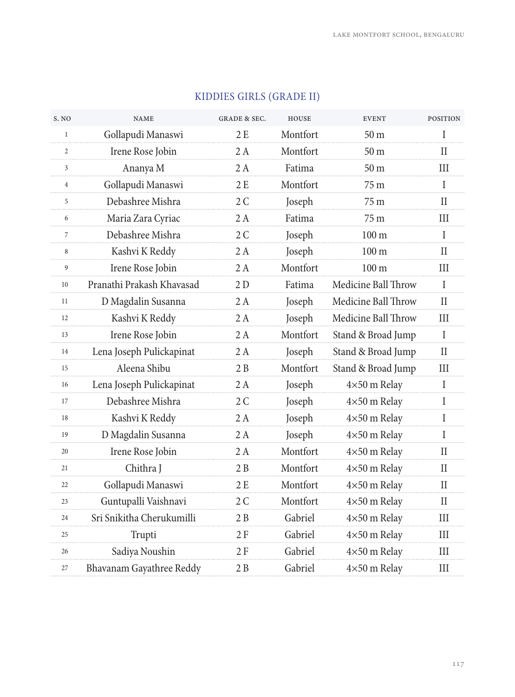| S. NO          | <b>NAME</b>               | <b>GRADE &amp; SEC.</b> | <b>HOUSE</b> | <b>EVENT</b>        | <b>POSITION</b> |
|----------------|---------------------------|-------------------------|--------------|---------------------|-----------------|
| $\mathbf{1}$   | Gollapudi Manaswi         | 2E                      | Montfort     | 50 <sub>m</sub>     | $\mathbf{I}$    |
| 2              | Irene Rose Jobin          | 2 A                     | Montfort     | 50 <sub>m</sub>     | $\mathbf{I}$    |
| 3              | Ananya M                  | 2 A                     | Fatima       | 50 <sub>m</sub>     | Ш               |
| $\overline{4}$ | Gollapudi Manaswi         | 2E                      | Montfort     | 75 <sub>m</sub>     | $\mathbf{I}$    |
| 5              | Debashree Mishra          | 2C                      | Joseph       | 75 m                | $\rm II$        |
| 6              | Maria Zara Cyriac         | 2 A                     | Fatima       | 75 m                | Ш               |
| $\overline{7}$ | Debashree Mishra          | 2C                      | Joseph       | 100 <sub>m</sub>    | $\mathbf I$     |
| 8              | Kashvi K Reddy            | 2 A                     | Joseph       | 100 <sub>m</sub>    | $\mathbf{I}$    |
| 9              | Irene Rose Jobin          | 2 A                     | Montfort     | 100 <sub>m</sub>    | Ш               |
| 10             | Pranathi Prakash Khavasad | 2D                      | Fatima       | Medicine Ball Throw | T               |
| 11             | D Magdalin Susanna        | 2 A                     | Joseph       | Medicine Ball Throw | $\mathbf{I}$    |
| 12             | Kashvi K Reddy            | 2 A                     | Joseph       | Medicine Ball Throw | III             |
| 13             | Irene Rose Jobin          | 2A                      | Montfort     | Stand & Broad Jump  | $\mathbf I$     |
| 14             | Lena Joseph Pulickapinat  | 2 A                     | Joseph       | Stand & Broad Jump  | $\mathbf{I}$    |
| 15             | Aleena Shibu              | 2B                      | Montfort     | Stand & Broad Jump  | Ш               |
| 16             | Lena Joseph Pulickapinat  | 2 A                     | Joseph       | 4×50 m Relay        | $\mathsf{I}$    |
| 17             | Debashree Mishra          | 2C                      | Joseph       | 4×50 m Relay        | T               |
| 18             | Kashvi K Reddy            | 2 A                     | Joseph       | 4×50 m Relay        | $\mathbf I$     |
| 19             | D Magdalin Susanna        | 2A                      | Joseph       | 4×50 m Relay        | T               |
| 20             | Irene Rose Jobin          | 2 A                     | Montfort     | $4\times50$ m Relay | $_{\rm II}$     |
| 21             | Chithra J                 | 2B                      | Montfort     | 4×50 m Relay        | П               |
| 22             | Gollapudi Manaswi         | 2E                      | Montfort     | 4×50 m Relay        | $\mathbf{I}$    |
| 23             | Guntupalli Vaishnavi      | 2C                      | Montfort     | $4\times50$ m Relay | Н               |
| 24             | Sri Snikitha Cherukumilli | 2B                      | Gabriel      | $4\times50$ m Relay | Ш               |
| 25             | Trupti                    | 2F                      | Gabriel      | 4×50 m Relay        | III             |
| 26             | Sadiya Noushin            | 2 F                     | Gabriel      | 4×50 m Relay        | III             |
| 27             | Bhavanam Gayathree Reddy  | 2B                      | Gabriel      | 4×50 m Relay        | III             |
|                |                           |                         |              |                     |                 |

## KIDDIES GIRLS (GRADE II)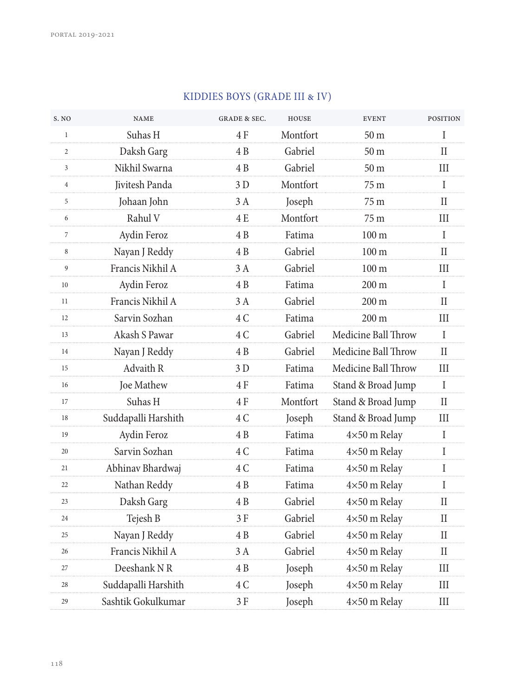| S. NO          | <b>NAME</b>         | <b>GRADE &amp; SEC.</b> | <b>HOUSE</b> | <b>EVENT</b>        | <b>POSITION</b>             |
|----------------|---------------------|-------------------------|--------------|---------------------|-----------------------------|
| $\mathbf{1}$   | Suhas H             | 4 F                     | Montfort     | 50 <sub>m</sub>     | I                           |
| $\overline{c}$ | Daksh Garg          | 4 B                     | Gabriel      | 50 <sub>m</sub>     | $\mathbf{I}$                |
| 3              | Nikhil Swarna       | 4 B                     | Gabriel      | 50 <sub>m</sub>     | Ш                           |
| $\overline{4}$ | Jivitesh Panda      | 3D                      | Montfort     | 75 m                | $\mathbf I$                 |
| 5              | Johaan John         | 3 A                     | Joseph       | 75 m                | $\rm II$                    |
| 6              | Rahul V             | 4 E                     | Montfort     | 75 m                | III                         |
| $\overline{7}$ | Aydin Feroz         | 4 B                     | Fatima       | 100 <sub>m</sub>    | $\mathbf I$                 |
| 8              | Nayan J Reddy       | 4B                      | Gabriel      | 100 <sub>m</sub>    | $\rm II$                    |
| 9              | Francis Nikhil A    | 3 A                     | Gabriel      | $100 \text{ m}$     | Ш                           |
| 10             | Aydin Feroz         | 4B                      | Fatima       | $200 \text{ m}$     | $\mathbf I$                 |
| 11             | Francis Nikhil A    | 3A                      | Gabriel      | 200 m               | $\mathbf{I}$                |
| 12             | Sarvin Sozhan       | 4C                      | Fatima       | 200 m               | III                         |
| 13             | Akash S Pawar       | 4 C                     | Gabriel      | Medicine Ball Throw | $\mathbf I$                 |
| 14             | Nayan J Reddy       | 4B                      | Gabriel      | Medicine Ball Throw | $\mathbf{I}$                |
| 15             | Advaith R           | 3D                      | Fatima       | Medicine Ball Throw | III                         |
| 16             | Joe Mathew          | 4 F                     | Fatima       | Stand & Broad Jump  | $\mathbf I$                 |
| 17             | Suhas H             | 4 F                     | Montfort     | Stand & Broad Jump  | H                           |
| 18             | Suddapalli Harshith | 4C                      | Joseph       | Stand & Broad Jump  | $\mathop{\rm III}\nolimits$ |
| 19             | Aydin Feroz         | 4B                      | Fatima       | 4×50 m Relay        | $\rm I$                     |
| 20             | Sarvin Sozhan       | 4C                      | Fatima       | 4×50 m Relay        | $\mathbf I$                 |
| 21             | Abhinav Bhardwaj    | 4 C                     | Fatima       | 4×50 m Relay        | I                           |
| 22             | Nathan Reddy        | 4B                      | Fatima       | 4×50 m Relay        | $\mathbf I$                 |
| 23             | Daksh Garg          | 4B                      | Gabriel      | 4×50 m Relay        | $\rm II$                    |
| 24             | Tejesh B            | 3 F                     | Gabriel      | 4×50 m Relay        | $\rm II$                    |
| 25             | Nayan J Reddy       | 4B                      | Gabriel      | 4×50 m Relay        | $\mathbf{I}$                |
| 26             | Francis Nikhil A    | 3 A                     | Gabriel      | 4×50 m Relay        | $\mathbf{I}$                |
| 27             | Deeshank NR         | 4B                      | Joseph       | 4×50 m Relay        | III                         |
| 28             | Suddapalli Harshith | 4 C                     | Joseph       | 4×50 m Relay        | Ш                           |
| 29             | Sashtik Gokulkumar  | 3 F                     | Joseph       | 4×50 m Relay        | III                         |

## KIDDIES BOYS (GRADE III & IV)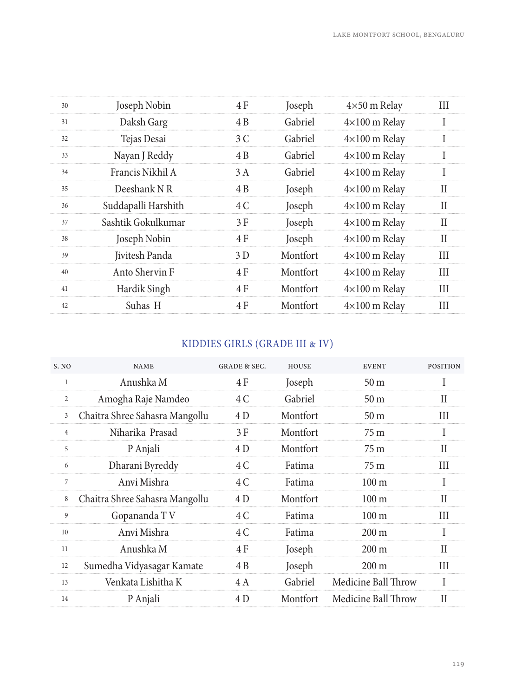| 30 | Joseph Nobin        | 4 F | Joseph   | $4\times50$ m Relay  | Ш            |
|----|---------------------|-----|----------|----------------------|--------------|
| 31 | Daksh Garg          | 4 B | Gabriel  | $4\times100$ m Relay |              |
| 32 | Tejas Desai         | 3 C | Gabriel  | $4\times100$ m Relay |              |
| 33 | Nayan J Reddy       | 4 B | Gabriel  | $4\times100$ m Relay |              |
| 34 | Francis Nikhil A    | 3 A | Gabriel  | $4\times100$ m Relay | $\mathbf{I}$ |
| 35 | Deeshank N R        | 4 B | Joseph   | $4\times100$ m Relay | Н            |
| 36 | Suddapalli Harshith | 4 C | Joseph   | $4\times100$ m Relay | Н            |
| 37 | Sashtik Gokulkumar  | 3 F | Joseph   | $4\times100$ m Relay | Н            |
| 38 | Joseph Nobin        | 4 F | Joseph   | $4\times100$ m Relay | H            |
| 39 | Jivitesh Panda      | 3D  | Montfort | $4\times100$ m Relay | Ш            |
| 40 | Anto Shervin F      | 4 F | Montfort | $4\times100$ m Relay | Ш            |
| 41 | Hardik Singh        | 4 F | Montfort | $4\times100$ m Relay | Ш            |
| 42 | Suhas H             | 4 F | Montfort | $4\times100$ m Relay | Ш            |
|    |                     |     |          |                      |              |

## KIDDIES GIRLS (GRADE III & IV)

| S. NO          | <b>NAME</b>                    | <b>GRADE &amp; SEC.</b> | HOUSE    | <b>EVENT</b>        | <b>POSITION</b> |
|----------------|--------------------------------|-------------------------|----------|---------------------|-----------------|
| 1              | Anushka M                      | 4 F                     | Joseph   | 50 <sub>m</sub>     |                 |
| $\overline{2}$ | Amogha Raje Namdeo             | 4 C                     | Gabriel  | 50 <sub>m</sub>     | Н               |
| 3              | Chaitra Shree Sahasra Mangollu | 4 D                     | Montfort | 50 <sub>m</sub>     | Ш               |
| 4              | Niharika Prasad                | 3 F                     | Montfort | 75 m                |                 |
| 5              | P Anjali                       | 4 D                     | Montfort | 75 m                | Н               |
| 6              | Dharani Byreddy                | 4 C                     | Fatima   | 75 m                | Ш               |
| 7              | Anvi Mishra                    | 4 C                     | Fatima   | $100 \text{ m}$     |                 |
| 8              | Chaitra Shree Sahasra Mangollu | 4 D                     | Montfort | $100 \text{ m}$     | Н               |
| 9              | Gopananda TV                   | 4 C                     | Fatima   | $100 \text{ m}$     | Ш               |
| 10             | Anvi Mishra                    | 4 C                     | Fatima   | $200 \text{ m}$     | T               |
| 11             | Anushka M                      | 4 F                     | Joseph   | $200 \text{ m}$     | Н               |
| 12             | Sumedha Vidyasagar Kamate      | 4 B                     | Joseph   | $200 \text{ m}$     | Ш               |
| 13             | Venkata Lishitha K             | 4 A                     | Gabriel  | Medicine Ball Throw |                 |
| 14             | P Anjali                       | 4 D                     | Montfort | Medicine Ball Throw | H               |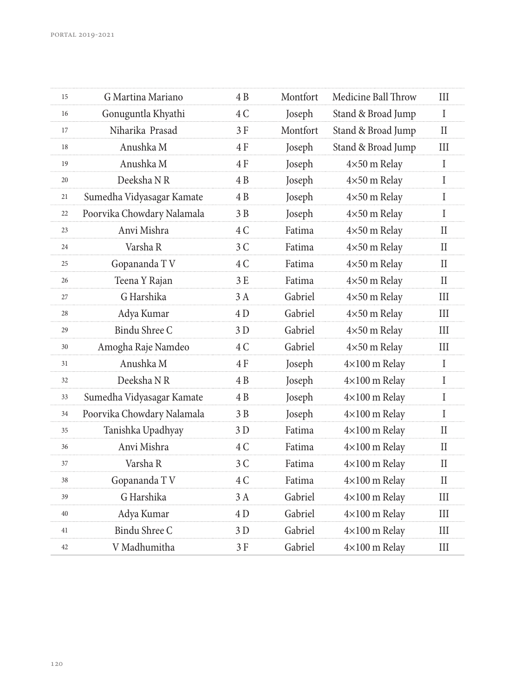| 15 | G Martina Mariano          | 4 B | Montfort | Medicine Ball Throw  | Ш           |
|----|----------------------------|-----|----------|----------------------|-------------|
| 16 | Gonuguntla Khyathi         | 4 C | Joseph   | Stand & Broad Jump   | $\mathbf I$ |
| 17 | Niharika Prasad            | 3 F | Montfort | Stand & Broad Jump   | $\rm II$    |
| 18 | Anushka M                  | 4 F | Joseph   | Stand & Broad Jump   | Ш           |
| 19 | Anushka M                  | 4F  | Joseph   | 4×50 m Relay         | $\mathbf I$ |
| 20 | Deeksha NR                 | 4 B | Joseph   | $4\times50$ m Relay  | I           |
| 21 | Sumedha Vidyasagar Kamate  | 4 B | Joseph   | 4×50 m Relay         | I           |
| 22 | Poorvika Chowdary Nalamala | 3B  | Joseph   | 4×50 m Relay         | $\mathbf I$ |
| 23 | Anvi Mishra                | 4 C | Fatima   | $4\times50$ m Relay  | П           |
| 24 | Varsha R                   | 3C  | Fatima   | 4×50 m Relay         | H           |
| 25 | Gopananda TV               | 4 C | Fatima   | 4×50 m Relay         | $\rm II$    |
| 26 | Teena Y Rajan              | 3 E | Fatima   | $4\times50$ m Relay  | $\rm II$    |
| 27 | G Harshika                 | 3A  | Gabriel  | 4×50 m Relay         | Ш           |
| 28 | Adya Kumar                 | 4 D | Gabriel  | $4\times50$ m Relay  | III         |
| 29 | Bindu Shree C              | 3 D | Gabriel  | $4\times50$ m Relay  | Ш           |
| 30 | Amogha Raje Namdeo         | 4 C | Gabriel  | 4×50 m Relay         | Ш           |
| 31 | Anushka M                  | 4F  | Joseph   | $4\times100$ m Relay | $\bf{I}$    |
| 32 | Deeksha NR                 | 4 B | Joseph   | $4\times100$ m Relay | I           |
| 33 | Sumedha Vidyasagar Kamate  | 4B  | Joseph   | $4\times100$ m Relay | T           |
| 34 | Poorvika Chowdary Nalamala | 3B  | Joseph   | $4\times100$ m Relay | $\mathbf I$ |
| 35 | Tanishka Upadhyay          | 3 D | Fatima   | $4\times100$ m Relay | $\rm II$    |
| 36 | Anvi Mishra                | 4 C | Fatima   | $4\times100$ m Relay | $\rm II$    |
| 37 | Varsha R                   | 3C  | Fatima   | $4\times100$ m Relay | $\rm II$    |
| 38 | Gopananda TV               | 4 C | Fatima   | $4\times100$ m Relay | $\rm II$    |
| 39 | G Harshika                 | 3A  | Gabriel  | $4\times100$ m Relay | III         |
| 40 | Adya Kumar                 | 4D  | Gabriel  | $4\times100$ m Relay | III         |
| 41 | Bindu Shree C              | 3 D | Gabriel  | $4\times100$ m Relay | III         |
| 42 | V Madhumitha               | 3 F | Gabriel  | 4×100 m Relay        | III         |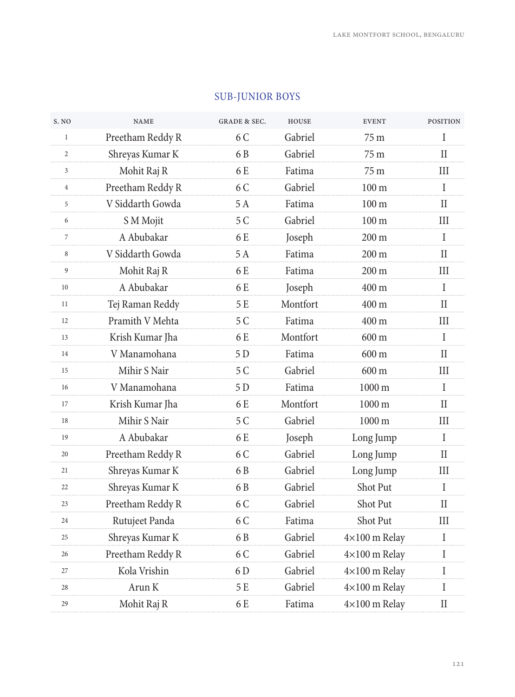| S. NO          | <b>NAME</b>      | <b>GRADE &amp; SEC.</b> | <b>HOUSE</b> | <b>EVENT</b>         | <b>POSITION</b> |
|----------------|------------------|-------------------------|--------------|----------------------|-----------------|
| $\mathbf{1}$   | Preetham Reddy R | 6 C                     | Gabriel      | 75 m                 | I               |
| 2              | Shreyas Kumar K  | 6 B                     | Gabriel      | 75 m                 | П               |
| $\mathbf{3}$   | Mohit Raj R      | 6 E                     | Fatima       | 75 m                 | Ш               |
| $\overline{4}$ | Preetham Reddy R | 6 C                     | Gabriel      | $100 \text{ m}$      | I               |
| 5              | V Siddarth Gowda | 5A                      | Fatima       | $100 \text{ m}$      | $\mathbf{I}$    |
| 6              | S M Mojit        | 5 C                     | Gabriel      | 100 <sub>m</sub>     | Ш               |
| $\overline{7}$ | A Abubakar       | 6 E                     | Joseph       | $200 \text{ m}$      | I               |
| 8              | V Siddarth Gowda | 5 A                     | Fatima       | $200 \text{ m}$      | H               |
| 9              | Mohit Raj R      | 6 E                     | Fatima       | $200 \text{ m}$      | Ш               |
| 10             | A Abubakar       | 6 E                     | Joseph       | 400 m                | $\mathbf I$     |
| 11             | Tej Raman Reddy  | 5 E                     | Montfort     | 400 m                | Н               |
| 12             | Pramith V Mehta  | 5 C                     | Fatima       | 400 m                | Ш               |
| 13             | Krish Kumar Jha  | 6 E                     | Montfort     | $600 \text{ m}$      | I               |
| 14             | V Manamohana     | 5D                      | Fatima       | 600 m                | $\mathbf{I}$    |
| 15             | Mihir S Nair     | 5 C                     | Gabriel      | $600 \text{ m}$      | Ш               |
| 16             | V Manamohana     | 5 D                     | Fatima       | 1000 m               | L               |
| 17             | Krish Kumar Jha  | 6 E                     | Montfort     | 1000 m               | H               |
| 18             | Mihir S Nair     | 5 C                     | Gabriel      | $1000 \text{ m}$     | Ш               |
| 19             | A Abubakar       | 6 E                     | Joseph       | Long Jump            | $\mathbf I$     |
| 20             | Preetham Reddy R | 6 C                     | Gabriel      | Long Jump            | H               |
| 21             | Shreyas Kumar K  | 6 B                     | Gabriel      | Long Jump            | III             |
| 22             | Shreyas Kumar K  | 6 B                     | Gabriel      | Shot Put             | I               |
| 23             | Preetham Reddy R | 6 C                     | Gabriel      | Shot Put             | $\mathbf{I}$    |
| 24             | Rutujeet Panda   | 6 C                     | Fatima       | Shot Put             | Ш               |
| 25             | Shreyas Kumar K  | 6 B                     | Gabriel      | $4\times100$ m Relay | $\rm I$         |
| 26             | Preetham Reddy R | 6 C                     | Gabriel      | $4\times100$ m Relay | $\mathbf I$     |
| 27             | Kola Vrishin     | 6 <sub>D</sub>          | Gabriel      | $4\times100$ m Relay | $\mathbf I$     |
| 28             | Arun K           | 5 E                     | Gabriel      | 4×100 m Relay        | I               |
| 29             | Mohit Raj R      | 6 E                     | Fatima       | 4×100 m Relay        | $\rm II$        |
|                |                  |                         |              |                      |                 |

#### SUB-JUNIOR BOYS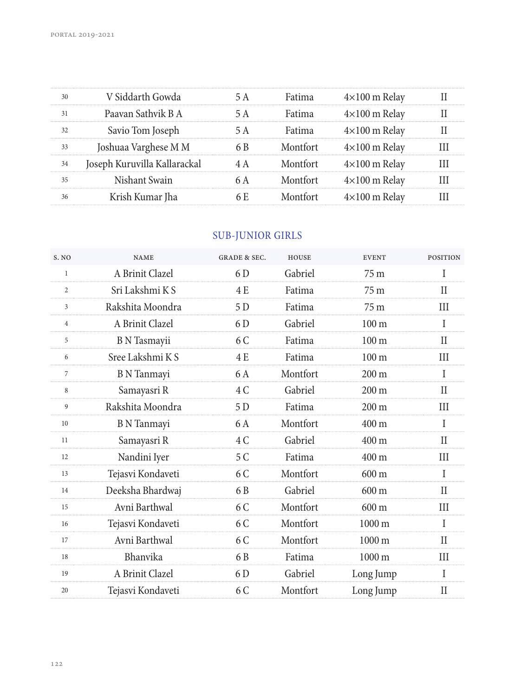| $4\times100$ m Relav<br>$4\times100$ m Relav<br>$4\times100$ m Relav |
|----------------------------------------------------------------------|
|                                                                      |
|                                                                      |
|                                                                      |
| $4\times100$ m Relav                                                 |
| $4\times100$ m Relav                                                 |
| $4\times100$ m Relav                                                 |
| $4\times100$ m Relav                                                 |
|                                                                      |

## SUB-JUNIOR GIRLS

| S. NO        | <b>NAME</b>         | <b>GRADE &amp; SEC.</b> | <b>HOUSE</b> | <b>EVENT</b>     | <b>POSITION</b> |
|--------------|---------------------|-------------------------|--------------|------------------|-----------------|
| $\mathbf{1}$ | A Brinit Clazel     | 6 D                     | Gabriel      | 75 <sub>m</sub>  |                 |
| 2            | Sri Lakshmi K S     | 4 E                     | Fatima       | 75 m             | Н               |
| 3            | Rakshita Moondra    | 5 D                     | Fatima       | 75 <sub>m</sub>  | Ш               |
| 4            | A Brinit Clazel     | 6 D                     | Gabriel      | 100 <sub>m</sub> | I               |
| 5            | <b>B</b> N Tasmayii | 6 C                     | Fatima       | 100 <sub>m</sub> | $\mathbf{I}$    |
| 6            | Sree Lakshmi K S    | 4 E                     | Fatima       | $100 \text{ m}$  | III             |
| 7            | <b>B</b> N Tanmayi  | 6 A                     | Montfort     | $200 \text{ m}$  | I               |
| 8            | Samayasri R         | 4 C                     | Gabriel      | $200 \text{ m}$  | Н               |
| 9            | Rakshita Moondra    | 5 D                     | Fatima       | $200 \text{ m}$  | Ш               |
| 10           | <b>B</b> N Tanmayi  | 6 A                     | Montfort     | $400 \text{ m}$  | I               |
| 11           | Samayasri R         | 4 C                     | Gabriel      | $400 \text{ m}$  | H               |
| 12           | Nandini Iyer        | 5 C                     | Fatima       | $400 \text{ m}$  | III             |
| 13           | Tejasvi Kondaveti   | 6 C                     | Montfort     | $600 \text{ m}$  | T               |
| 14           | Deeksha Bhardwaj    | 6 B                     | Gabriel      | $600 \text{ m}$  | $\mathbf{I}$    |
| 15           | Avni Barthwal       | 6 C                     | Montfort     | $600 \text{ m}$  | Ш               |
| 16           | Tejasvi Kondaveti   | 6 C                     | Montfort     | $1000 \text{ m}$ | T               |
| 17           | Avni Barthwal       | 6 C                     | Montfort     | $1000 \text{ m}$ | Н               |
| 18           | Bhanvika            | 6 B                     | Fatima       | $1000 \text{ m}$ | III             |
| 19           | A Brinit Clazel     | 6 D                     | Gabriel      | Long Jump        | I               |
| 20           | Tejasvi Kondaveti   | 6 C                     | Montfort     | Long Jump        | П               |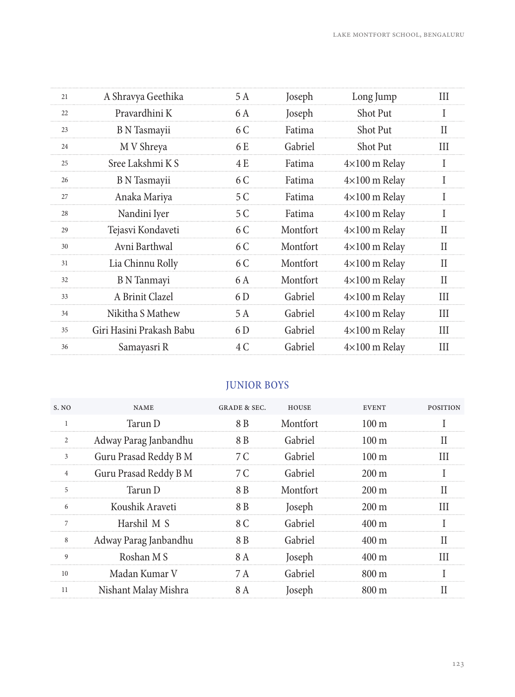| 21 | A Shravya Geethika       | 5 A | Joseph   | Long Jump            | Ш            |
|----|--------------------------|-----|----------|----------------------|--------------|
| 22 | Pravardhini K            | 6 A | Joseph   | Shot Put             |              |
| 23 | B N Tasmayii             | 6 C | Fatima   | <b>Shot Put</b>      | П            |
| 24 | M V Shreya               | 6 E | Gabriel  | <b>Shot Put</b>      | Ш            |
| 25 | Sree Lakshmi K S         | 4 E | Fatima   | $4\times100$ m Relay |              |
| 26 | <b>B</b> N Tasmayii      | 6 C | Fatima   | $4\times100$ m Relay | I            |
| 27 | Anaka Mariya             | 5 C | Fatima   | $4\times100$ m Relay | $\mathbf{I}$ |
| 28 | Nandini Iyer             | 5 C | Fatima   | $4\times100$ m Relay |              |
| 29 | Tejasvi Kondaveti        | 6 C | Montfort | $4\times100$ m Relay | Н            |
| 30 | Avni Barthwal            | 6 C | Montfort | $4\times100$ m Relay | $\mathbf{I}$ |
| 31 | Lia Chinnu Rolly         | 6 C | Montfort | $4\times100$ m Relay | H            |
| 32 | B N Tanmayi              | 6 A | Montfort | $4\times100$ m Relay | П            |
| 33 | A Brinit Clazel          | 6 D | Gabriel  | $4\times100$ m Relay | Ш            |
| 34 | Nikitha S Mathew         | 5 A | Gabriel  | $4\times100$ m Relay | III          |
| 35 | Giri Hasini Prakash Babu | 6 D | Gabriel  | $4\times100$ m Relay | Ш            |
| 36 | Samayasri R              | 4 C | Gabriel  | $4\times100$ m Relay | III          |
|    |                          |     |          |                      |              |

## JUNIOR BOYS

| S. NO          | <b>NAME</b>           | GRADE & SEC. | <b>HOUSE</b> | <b>EVENT</b>       | <b>POSITION</b> |
|----------------|-----------------------|--------------|--------------|--------------------|-----------------|
|                | Tarun D               | 8 B          | Montfort     | $100 \text{ m}$    |                 |
| $\overline{c}$ | Adway Parag Janbandhu | 8 B          | Gabriel      | $100 \text{ m}$    |                 |
| 3              | Guru Prasad Reddy B M | 7 C          | Gabriel      | $100 \text{ m}$    |                 |
| 4              | Guru Prasad Reddy B M | 7 C          | Gabriel      | $200 \text{ m}$    |                 |
| 5              | Tarun D               | 8 B          | Montfort     | $200 \,\mathrm{m}$ |                 |
| 6              | Koushik Araveti       | 8 B          | Joseph       | $200 \text{ m}$    | Ш               |
|                | Harshil M S           | 8 C          | Gabriel      | $400 \text{ m}$    |                 |
| 8              | Adway Parag Janbandhu | 8 B          | Gabriel      | $400 \text{ m}$    |                 |
| 9              | Roshan M S            | 8 A          | Joseph       | 400 m              | Ш               |
| 10             | Madan Kumar V         | 7 A          | Gabriel      | 800 m              |                 |
| 11             | Nishant Malay Mishra  |              | Joseph       | 800 m              |                 |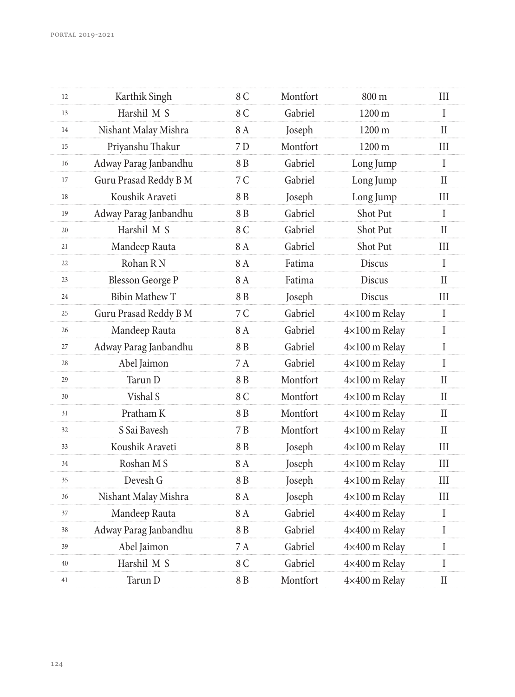| 12 | Karthik Singh           | 8 C | Montfort | 800 m                | Ш                          |
|----|-------------------------|-----|----------|----------------------|----------------------------|
| 13 | Harshil M S             | 8 C | Gabriel  | 1200 m               | $\mathbf I$                |
| 14 | Nishant Malay Mishra    | 8 A | Joseph   | 1200 m               | $\mathbf{I}$               |
| 15 | Priyanshu Thakur        | 7 D | Montfort | 1200 m               | Ш                          |
| 16 | Adway Parag Janbandhu   | 8 B | Gabriel  | Long Jump            | $\mathbf I$                |
| 17 | Guru Prasad Reddy B M   | 7 C | Gabriel  | Long Jump            | П                          |
| 18 | Koushik Araveti         | 8B  | Joseph   | Long Jump            | III                        |
| 19 | Adway Parag Janbandhu   | 8 B | Gabriel  | Shot Put             | I                          |
| 20 | Harshil M S             | 8 C | Gabriel  | Shot Put             | $\mathbf{I}$               |
| 21 | Mandeep Rauta           | 8 A | Gabriel  | Shot Put             | Ш                          |
| 22 | Rohan R <sub>N</sub>    | 8A  | Fatima   | <b>Discus</b>        | $\mathbf I$                |
| 23 | <b>Blesson George P</b> | 8 A | Fatima   | <b>Discus</b>        | H                          |
| 24 | <b>Bibin Mathew T</b>   | 8 B | Joseph   | <b>Discus</b>        | III                        |
| 25 | Guru Prasad Reddy B M   | 7 C | Gabriel  | 4×100 m Relay        | $\bf{I}$                   |
| 26 | Mandeep Rauta           | 8 A | Gabriel  | $4\times100$ m Relay | $\mathbf I$                |
| 27 | Adway Parag Janbandhu   | 8 B | Gabriel  | $4\times100$ m Relay | $\mathbf I$                |
| 28 | Abel Jaimon             | 7A  | Gabriel  | $4\times100$ m Relay | $\mathbf I$                |
| 29 | Tarun D                 | 8 B | Montfort | 4×100 m Relay        | $\mathbf{I}$               |
| 30 | Vishal S                | 8 C | Montfort | $4\times100$ m Relay | $\mathbf{I}$               |
| 31 | Pratham K               | 8 B | Montfort | 4×100 m Relay        | $\mathbf{I}$               |
| 32 | S Sai Bavesh            | 7 B | Montfort | $4\times100$ m Relay | П                          |
| 33 | Koushik Araveti         | 8 B | Joseph   | 4×100 m Relay        | III                        |
| 34 | Roshan M S              | 8 A | Joseph   | $4\times100$ m Relay | Ш                          |
| 35 | Devesh G                | 8 B | Joseph   | $4\times100$ m Relay | III                        |
| 36 | Nishant Malay Mishra    | 8 A | Joseph   | $4\times100$ m Relay | Ш                          |
| 37 | Mandeep Rauta           | 8A  | Gabriel  | 4×400 m Relay        | L                          |
| 38 | Adway Parag Janbandhu   | 8 B | Gabriel  | 4×400 m Relay        | $\bf{I}$                   |
| 39 | Abel Jaimon             | 7 A | Gabriel  | 4×400 m Relay        | $\mathbf I$                |
| 40 | Harshil M S             | 8 C | Gabriel  | 4×400 m Relay        | I                          |
| 41 | Tarun D                 | 8 B | Montfort | 4×400 m Relay        | $\mathop{\rm II}\nolimits$ |
|    |                         |     |          |                      |                            |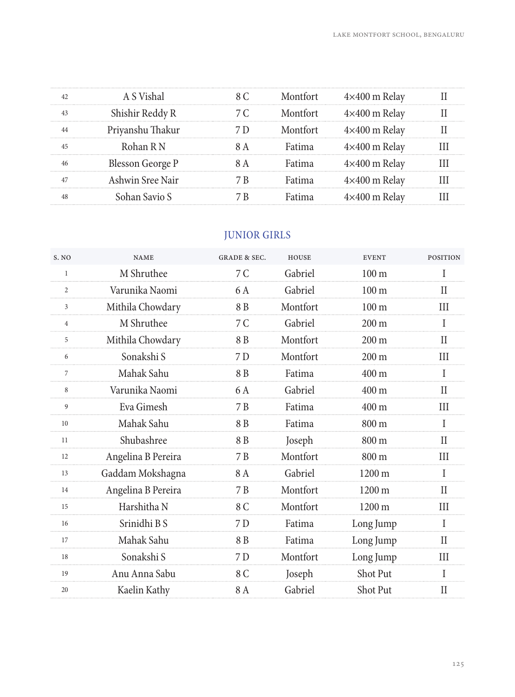|                         |  | ≺400 m Relav         |  |
|-------------------------|--|----------------------|--|
| ıshir Reddy R           |  | <400 m Relav         |  |
|                         |  | $4\times400$ m Relay |  |
|                         |  | <400 m Relav         |  |
| <b>Blesson George P</b> |  | <400 m Relav         |  |
| Ashwin Sree Nair        |  | '400 m Relav         |  |
| han Savio               |  |                      |  |
|                         |  |                      |  |

# JUNIOR GIRLS

| S. NO          | <b>NAME</b>        | <b>GRADE &amp; SEC.</b> | <b>HOUSE</b> | <b>EVENT</b>     | <b>POSITION</b> |
|----------------|--------------------|-------------------------|--------------|------------------|-----------------|
| $\mathbf{1}$   | M Shruthee         | 7C                      | Gabriel      | 100 <sub>m</sub> | T               |
| $\overline{c}$ | Varunika Naomi     | 6 A                     | Gabriel      | $100 \text{ m}$  | П               |
| 3              | Mithila Chowdary   | 8 B                     | Montfort     | 100 <sub>m</sub> | Ш               |
| 4              | M Shruthee         | 7 C                     | Gabriel      | $200 \text{ m}$  | I               |
| 5              | Mithila Chowdary   | 8 B                     | Montfort     | $200 \text{ m}$  | Н               |
| 6              | Sonakshi S         | 7 D                     | Montfort     | $200 \text{ m}$  | Ш               |
| 7              | Mahak Sahu         | 8 <sub>B</sub>          | Fatima       | $400 \text{ m}$  | I               |
| 8              | Varunika Naomi     | 6 A                     | Gabriel      | $400 \text{ m}$  | $\mathbf{I}$    |
| 9              | Eva Gimesh         | 7 B                     | Fatima       | $400 \text{ m}$  | Ш               |
| 10             | Mahak Sahu         | 8 B                     | Fatima       | $800 \text{ m}$  | I               |
| 11             | Shubashree         | 8 B                     | Joseph       | $800 \text{ m}$  | Н               |
| 12             | Angelina B Pereira | 7 B                     | Montfort     | $800 \text{ m}$  | Ш               |
| 13             | Gaddam Mokshagna   | 8 A                     | Gabriel      | $1200 \text{ m}$ | I               |
| 14             | Angelina B Pereira | 7 B                     | Montfort     | $1200 \text{ m}$ | П               |
| 15             | Harshitha N        | 8 C                     | Montfort     | $1200 \text{ m}$ | Ш               |
| 16             | Srinidhi B S       | 7 D                     | Fatima       | Long Jump        | I               |
| 17             | Mahak Sahu         | 8 B                     | Fatima       | Long Jump        | Н               |
| 18             | Sonakshi S         | 7 D                     | Montfort     | Long Jump        | III             |
| 19             | Anu Anna Sabu      | 8 C                     | Joseph       | <b>Shot Put</b>  | I               |
| 20             | Kaelin Kathy       | 8 A                     | Gabriel      | Shot Put         | Н               |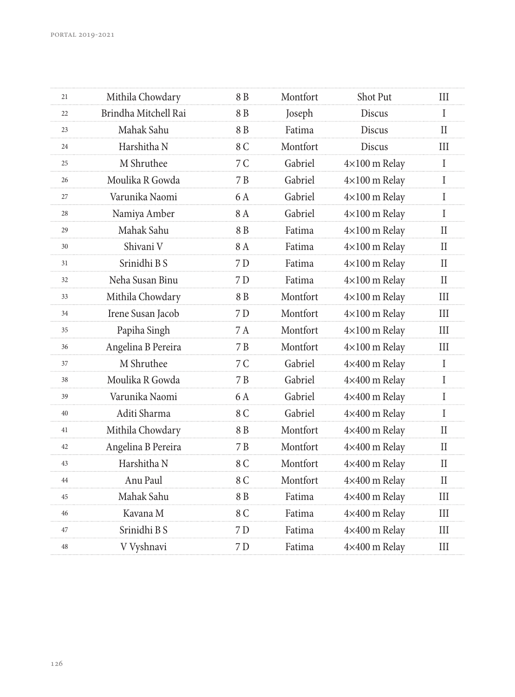| 21 | Mithila Chowdary     | 8 B | Montfort | Shot Put             | III          |
|----|----------------------|-----|----------|----------------------|--------------|
| 22 | Brindha Mitchell Rai | 8 B | Joseph   | Discus               | $\mathbf{I}$ |
| 23 | Mahak Sahu           | 8 B | Fatima   | Discus               | П            |
| 24 | Harshitha N          | 8 C | Montfort | Discus               | Ш            |
| 25 | M Shruthee           | 7C  | Gabriel  | $4\times100$ m Relay | I            |
| 26 | Moulika R Gowda      | 7 B | Gabriel  | $4\times100$ m Relay | $\mathbf{I}$ |
| 27 | Varunika Naomi       | 6 A | Gabriel  | $4\times100$ m Relay | Ι            |
| 28 | Namiya Amber         | 8A  | Gabriel  | $4\times100$ m Relay | $\bf{I}$     |
| 29 | Mahak Sahu           | 8 B | Fatima   | $4\times100$ m Relay | $_{\rm II}$  |
| 30 | Shivani V            | 8 A | Fatima   | $4\times100$ m Relay | Н            |
| 31 | Srinidhi B S         | 7 D | Fatima   | $4\times100$ m Relay | $_{\rm II}$  |
| 32 | Neha Susan Binu      | 7 D | Fatima   | $4\times100$ m Relay | H            |
| 33 | Mithila Chowdary     | 8 B | Montfort | $4\times100$ m Relay | III          |
| 34 | Irene Susan Jacob    | 7 D | Montfort | $4\times100$ m Relay | Ш            |
| 35 | Papiha Singh         | 7 A | Montfort | $4\times100$ m Relay | III          |
| 36 | Angelina B Pereira   | 7B  | Montfort | $4\times100$ m Relay | III          |
| 37 | M Shruthee           | 7 C | Gabriel  | 4×400 m Relay        | $\bf{I}$     |
| 38 | Moulika R Gowda      | 7 B | Gabriel  | 4×400 m Relay        | $\mathbf{I}$ |
| 39 | Varunika Naomi       | 6 A | Gabriel  | 4×400 m Relay        | I            |
| 40 | Aditi Sharma         | 8 C | Gabriel  | 4×400 m Relay        | I            |
| 41 | Mithila Chowdary     | 8 B | Montfort | 4×400 m Relay        | $_{\rm II}$  |
| 42 | Angelina B Pereira   | 7 B | Montfort | 4×400 m Relay        | $\rm II$     |
| 43 | Harshitha N          | 8 C | Montfort | 4×400 m Relay        | П            |
| 44 | Anu Paul             | 8 C | Montfort | 4×400 m Relay        | Н            |
| 45 | Mahak Sahu           | 8 B | Fatima   | 4×400 m Relay        | III          |
| 46 | Kavana M             | 8 C | Fatima   | 4×400 m Relay        | Ш            |
| 47 | Srinidhi B S         | 7 D | Fatima   | 4×400 m Relay        | III          |
| 48 | V Vyshnavi           | 7 D | Fatima   | 4×400 m Relay        | Ш            |
|    |                      |     |          |                      |              |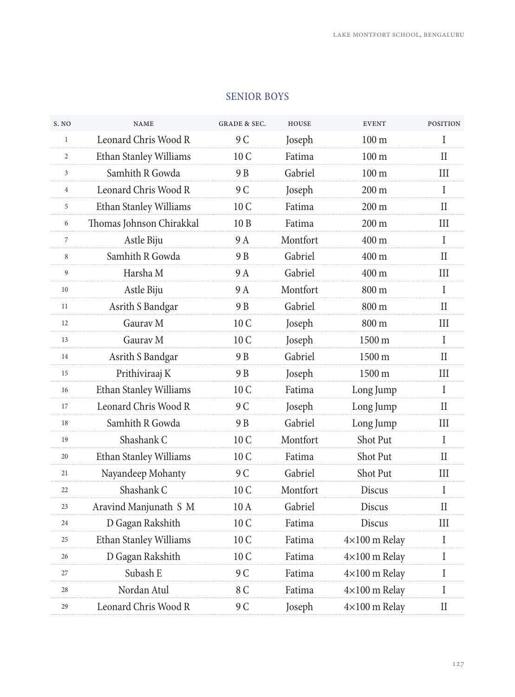| S. NO          | <b>NAME</b>              | <b>GRADE &amp; SEC.</b> | <b>HOUSE</b> | <b>EVENT</b>         | <b>POSITION</b>            |
|----------------|--------------------------|-------------------------|--------------|----------------------|----------------------------|
| $\mathbf{1}$   | Leonard Chris Wood R     | 9 C                     | Joseph       | $100 \text{ m}$      | I                          |
| $\overline{c}$ | Ethan Stanley Williams   | 10 <sub>C</sub>         | Fatima       | 100 <sub>m</sub>     | $\mathbf{I}$               |
| 3              | Samhith R Gowda          | 9 <sub>B</sub>          | Gabriel      | 100 <sub>m</sub>     | Ш                          |
| $\overline{4}$ | Leonard Chris Wood R     | 9 C                     | Joseph       | 200 m                | $\mathbf I$                |
| 5              | Ethan Stanley Williams   | 10 C                    | Fatima       | $200 \text{ m}$      | H                          |
| 6              | Thomas Johnson Chirakkal | 10B                     | Fatima       | 200 m                | Ш                          |
| $\overline{7}$ | Astle Biju               | 9 A                     | Montfort     | 400 m                | I                          |
| 8              | Samhith R Gowda          | 9 B                     | Gabriel      | 400 m                | П                          |
| 9              | Harsha M                 | 9A                      | Gabriel      | 400 m                | Ш                          |
| 10             | Astle Biju               | 9 A                     | Montfort     | 800 m                | I                          |
| 11             | Asrith S Bandgar         | 9 B                     | Gabriel      | 800 m                | $\rm II$                   |
| 12             | Gauray M                 | 10 C                    | Joseph       | 800 m                | Ш                          |
| 13             | Gauray M                 | 10 <sub>C</sub>         | Joseph       | 1500 m               | $\mathbf I$                |
| 14             | Asrith S Bandgar         | 9 B                     | Gabriel      | $1500 \text{ m}$     | П                          |
| 15             | Prithiviraaj K           | 9 B                     | Joseph       | 1500 m               | III                        |
| 16             | Ethan Stanley Williams   | 10 <sub>C</sub>         | Fatima       | Long Jump            | $\mathbf I$                |
| 17             | Leonard Chris Wood R     | 9 C                     | Joseph       | Long Jump            | $\mathbf{I}$               |
| 18             | Samhith R Gowda          | 9 B                     | Gabriel      | Long Jump            | Ш                          |
| 19             | Shashank C               | 10 <sub>C</sub>         | Montfort     | Shot Put             | I                          |
| 20             | Ethan Stanley Williams   | 10 <sub>C</sub>         | Fatima       | Shot Put             | $\mathbf{I}$               |
| 21             | Nayandeep Mohanty        | 9 C                     | Gabriel      | Shot Put             | Ш                          |
| 22             | Shashank C               | 10 C                    | Montfort     | <b>Discus</b>        | $\mathbf I$                |
| 23             | Aravind Manjunath S M    | 10 A                    | Gabriel      | <b>Discus</b>        | П                          |
| 24             | D Gagan Rakshith         | 10 C                    | Fatima       | <b>Discus</b>        | III                        |
| 25             | Ethan Stanley Williams   | 10 C                    | Fatima       | $4\times100$ m Relay | I                          |
| 26             | D Gagan Rakshith         | 10 C                    | Fatima       | $4\times100$ m Relay | $\mathbf I$                |
| 27             | Subash E                 | 9 C                     | Fatima       | $4\times100$ m Relay | I                          |
| 28             | Nordan Atul              | 8 C                     | Fatima       | $4\times100$ m Relay | I                          |
| 29             | Leonard Chris Wood R     | 9 C                     | Joseph       | 4×100 m Relay        | $\mathop{\rm II}\nolimits$ |

#### SENIOR BOYS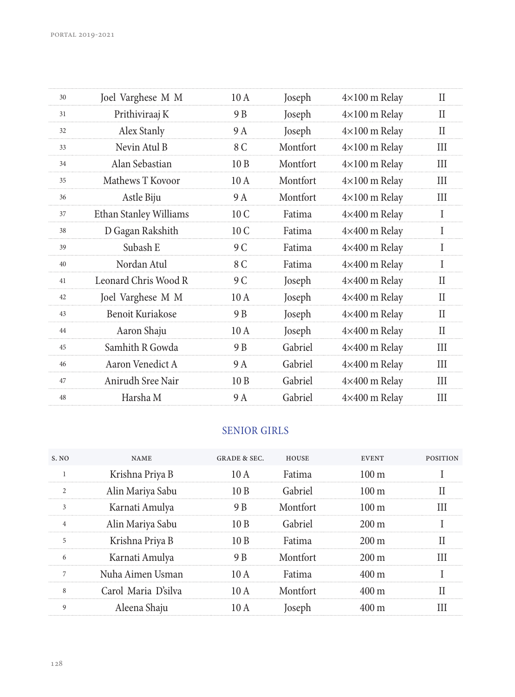| 30 | Joel Varghese M M      | 10 A            | Joseph   | $4\times100$ m Relay | П   |
|----|------------------------|-----------------|----------|----------------------|-----|
| 31 | Prithiviraaj K         | 9 B             | Joseph   | 4×100 m Relay        | Н   |
| 32 | Alex Stanly            | 9 A             | Joseph   | $4\times100$ m Relay | Н   |
| 33 | Nevin Atul B           | 8 C             | Montfort | $4\times100$ m Relay | Ш   |
| 34 | Alan Sebastian         | 10B             | Montfort | $4\times100$ m Relay | Ш   |
| 35 | Mathews T Kovoor       | 10 A            | Montfort | $4\times100$ m Relay | Ш   |
| 36 | Astle Biju             | 9 A             | Montfort | $4\times100$ m Relay | Ш   |
| 37 | Ethan Stanley Williams | 10 <sub>C</sub> | Fatima   | 4×400 m Relay        | I   |
| 38 | D Gagan Rakshith       | 10 <sub>C</sub> | Fatima   | 4×400 m Relay        | I   |
| 39 | Subash E               | 9 C             | Fatima   | 4×400 m Relay        | I   |
| 40 | Nordan Atul            | 8 C             | Fatima   | 4×400 m Relay        | I   |
| 41 | Leonard Chris Wood R   | 9 C             | Joseph   | 4×400 m Relay        | Н   |
| 42 | Joel Varghese M M      | 10A             | Joseph   | 4×400 m Relay        | Н   |
| 43 | Benoit Kuriakose       | 9 B             | Joseph   | 4×400 m Relay        | Н   |
| 44 | Aaron Shaju            | 10A             | Joseph   | $4\times400$ m Relay | Н   |
| 45 | Samhith R Gowda        | 9 B             | Gabriel  | $4\times400$ m Relay | Ш   |
| 46 | Aaron Venedict A       | 9 A             | Gabriel  | $4\times400$ m Relay | Ш   |
| 47 | Anirudh Sree Nair      | 10B             | Gabriel  | 4×400 m Relay        | Ш   |
| 48 | Harsha M               | 9 A             | Gabriel  | 4×400 m Relay        | III |
|    |                        |                 |          |                      |     |

## SENIOR GIRLS

| S. NO        | <b>NAME</b>         | GRADE & SEC. | HOUSE    | <b>EVENT</b>    | <b>POSITION</b> |
|--------------|---------------------|--------------|----------|-----------------|-----------------|
|              | Krishna Priya B     | 10 A         | Fatima   | $100 \text{ m}$ |                 |
|              | Alin Mariya Sabu    | 10 B         | Gabriel  | $100 \text{ m}$ |                 |
|              | Karnati Amulya      | 9 B          | Montfort | $100 \text{ m}$ |                 |
|              | Alin Mariya Sabu    | 10B          | Gabriel  | $200 \text{ m}$ |                 |
| 5            | Krishna Priya B     | 10 B         | Fatima   | 200 m           |                 |
|              | Karnati Amulya      | 9 B          | Montfort | 200 m           |                 |
|              | Nuha Aimen Usman    | 10 A         | Fatima   | 400 m           |                 |
| $\mathbf{8}$ | Carol Maria D'silva | 10A          | Montfort | 400 m           |                 |
| 9            | Aleena Shaju        |              |          |                 |                 |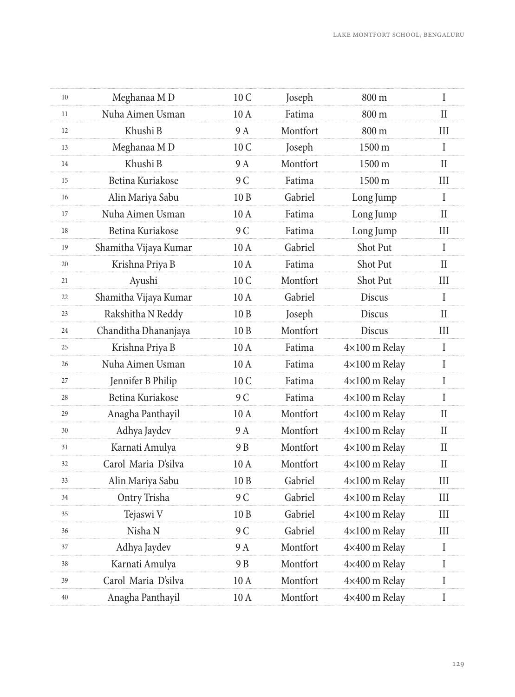| 10 | Meghanaa MD           | 10 C             | Joseph   | 800 m                | I            |
|----|-----------------------|------------------|----------|----------------------|--------------|
| 11 | Nuha Aimen Usman      | 10A              | Fatima   | 800 m                | $\mathbf{I}$ |
| 12 | Khushi B              | 9 A              | Montfort | 800 m                | Ш            |
| 13 | Meghanaa MD           | 10 C             | Joseph   | 1500 m               | $\mathbf{I}$ |
| 14 | Khushi B              | 9 A              | Montfort | $1500 \text{ m}$     | H            |
| 15 | Betina Kuriakose      | 9 C              | Fatima   | 1500 m               | $\rm III$    |
| 16 | Alin Mariya Sabu      | 10B              | Gabriel  | Long Jump            | $\mathbf{I}$ |
| 17 | Nuha Aimen Usman      | 10A              | Fatima   | Long Jump            | $\mathbf{I}$ |
| 18 | Betina Kuriakose      | 9 C              | Fatima   | Long Jump            | III          |
| 19 | Shamitha Vijaya Kumar | 10 A             | Gabriel  | Shot Put             | L            |
| 20 | Krishna Priya B       | $10A$            | Fatima   | Shot Put             | $_{\rm II}$  |
| 21 | Ayushi                | 10 C             | Montfort | Shot Put             | Ш            |
| 22 | Shamitha Vijaya Kumar | 10A              | Gabriel  | Discus               | I            |
| 23 | Rakshitha N Reddy     | 10 <sub>B</sub>  | Joseph   | <b>Discus</b>        | $\rm II$     |
| 24 | Chanditha Dhananjaya  | 10B              | Montfort | Discus               | Ш            |
| 25 | Krishna Priya B       | 10A              | Fatima   | $4\times100$ m Relay | I            |
| 26 | Nuha Aimen Usman      | 10 A             | Fatima   | 4×100 m Relay        | L            |
| 27 | Jennifer B Philip     | 10 C             | Fatima   | $4\times100$ m Relay | I            |
| 28 | Betina Kuriakose      | 9 C              | Fatima   | $4\times100$ m Relay | $\rm I$      |
| 29 | Anagha Panthayil      | 10A              | Montfort | $4\times100$ m Relay | $\mathbf{I}$ |
| 30 | Adhya Jaydev          | 9 A              | Montfort | $4\times100$ m Relay | П            |
| 31 | Karnati Amulya        | 9 B              | Montfort | $4\times100$ m Relay | $\mathbf{I}$ |
| 32 | Carol Maria D'silva   | 10A              | Montfort | $4\times100$ m Relay | H            |
| 33 | Alin Mariya Sabu      | 10B              | Gabriel  | $4\times100$ m Relay | $\rm III$    |
| 34 | Ontry Trisha          | 9 C              | Gabriel  | $4\times100$ m Relay | Ш            |
| 35 | Tejaswi V             | 10B              | Gabriel  | 4×100 m Relay        | Ш            |
| 36 | Nisha N               | 9 C              | Gabriel  | $4\times100$ m Relay | III          |
| 37 | Adhya Jaydev          | 9 A              | Montfort | 4×400 m Relay        | L            |
| 38 | Karnati Amulya        | 9 B              | Montfort | 4×400 m Relay        | Ι            |
| 39 | Carol Maria D'silva   | 10A              | Montfort | 4×400 m Relay        | I            |
| 40 | Anagha Panthayil      | $10\ \mathrm{A}$ | Montfort | 4×400 m Relay        | $\rm I$      |
|    |                       |                  |          |                      |              |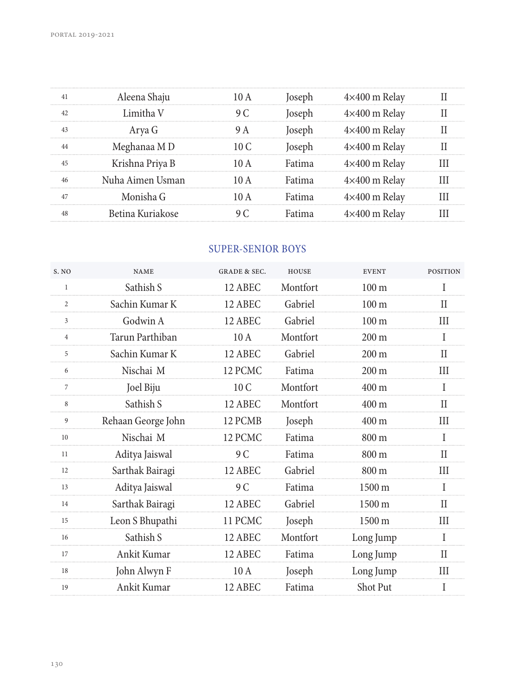| Aleena Shaju     |  | $4\times400$ m Relav |  |
|------------------|--|----------------------|--|
| Limitha V        |  | $4\times400$ m Relav |  |
| $Arva$ $G$       |  | $4\times400$ m Relav |  |
| Meghanaa MD      |  | $4\times400$ m Relay |  |
| Krishna Priya B  |  | $4\times400$ m Relav |  |
| Nuha Aimen Usman |  | $4\times400$ m Relay |  |
| onisha G         |  | $4\times400$ m Relay |  |
| Betina Kuriakose |  | <400 m Relav         |  |
|                  |  |                      |  |

## SUPER-SENIOR BOYS

| S. NO          | <b>NAME</b>        | <b>GRADE &amp; SEC.</b> | <b>HOUSE</b> | <b>EVENT</b>     | <b>POSITION</b> |
|----------------|--------------------|-------------------------|--------------|------------------|-----------------|
| $\mathbf{1}$   | Sathish S          | 12 ABEC                 | Montfort     | 100 <sub>m</sub> | T               |
| $\overline{c}$ | Sachin Kumar K     | 12 ABEC                 | Gabriel      | $100 \text{ m}$  | Н               |
| 3              | Godwin A           | 12 ABEC                 | Gabriel      | $100 \text{ m}$  | Ш               |
| 4              | Tarun Parthiban    | 10A                     | Montfort     | $200 \text{ m}$  | I               |
| 5              | Sachin Kumar K     | 12 ABEC                 | Gabriel      | $200 \text{ m}$  | Н               |
| 6              | Nischai M          | 12 PCMC                 | Fatima       | $200 \text{ m}$  | Ш               |
| $\overline{7}$ | Joel Biju          | 10 C                    | Montfort     | $400 \text{ m}$  | I               |
| 8              | Sathish S          | 12 ABEC                 | Montfort     | $400 \text{ m}$  | П               |
| 9              | Rehaan George John | 12 PCMB                 | Joseph       | $400 \text{ m}$  | Ш               |
| 10             | Nischai M          | 12 PCMC                 | Fatima       | $800 \text{ m}$  | T               |
| 11             | Aditya Jaiswal     | 9 C                     | Fatima       | $800 \text{ m}$  | Н               |
| 12             | Sarthak Bairagi    | 12 ABEC                 | Gabriel      | $800 \text{ m}$  | Ш               |
| 13             | Aditya Jaiswal     | 9 C                     | Fatima       | $1500 \text{ m}$ | L               |
| 14             | Sarthak Bairagi    | 12 ABEC                 | Gabriel      | $1500 \text{ m}$ | Н               |
| 15             | Leon S Bhupathi    | 11 PCMC                 | Joseph       | 1500 m           | III             |
| 16             | Sathish S          | 12 ABEC                 | Montfort     | Long Jump        | I               |
| 17             | Ankit Kumar        | 12 ABEC                 | Fatima       | Long Jump        | П               |
| 18             | John Alwyn F       | 10 A                    | Joseph       | Long Jump        | Ш               |
| 19             | Ankit Kumar        | 12 ABEC                 | Fatima       | <b>Shot Put</b>  | I               |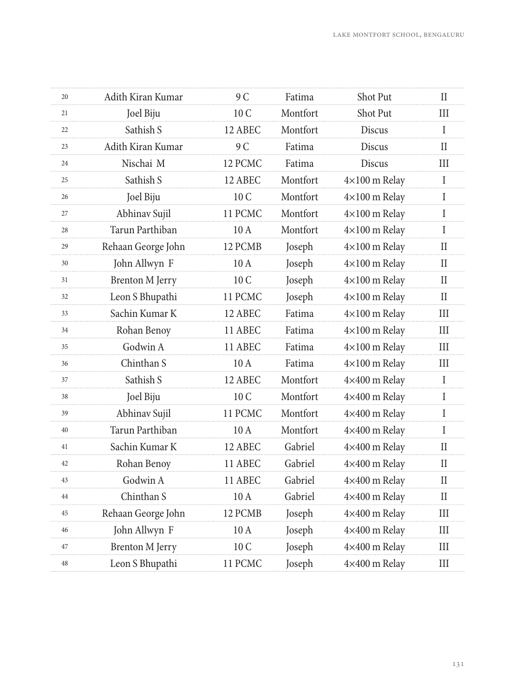| 20 | Adith Kiran Kumar      | 9 C     | Fatima   | Shot Put             | П            |
|----|------------------------|---------|----------|----------------------|--------------|
| 21 | Joel Biju              | 10 C    | Montfort | Shot Put             | Ш            |
| 22 | Sathish S              | 12 ABEC | Montfort | <b>Discus</b>        | $\mathbf{I}$ |
| 23 | Adith Kiran Kumar      | 9 C     | Fatima   | Discus               | H            |
| 24 | Nischai M              | 12 PCMC | Fatima   | <b>Discus</b>        | Ш            |
| 25 | Sathish S              | 12 ABEC | Montfort | $4\times100$ m Relay | $\mathbf I$  |
| 26 | Joel Biju              | 10 C    | Montfort | $4\times100$ m Relay | I            |
| 27 | Abhinav Sujil          | 11 PCMC | Montfort | 4×100 m Relay        | I            |
| 28 | Tarun Parthiban        | 10 A    | Montfort | 4×100 m Relay        | I            |
| 29 | Rehaan George John     | 12 PCMB | Joseph   | $4\times100$ m Relay | П            |
| 30 | John Allwyn F          | 10A     | Joseph   | $4\times100$ m Relay | П            |
| 31 | <b>Brenton M Jerry</b> | 10 C    | Joseph   | $4\times100$ m Relay | H            |
| 32 | Leon S Bhupathi        | 11 PCMC | Joseph   | $4\times100$ m Relay | $\rm II$     |
| 33 | Sachin Kumar K         | 12 ABEC | Fatima   | $4\times100$ m Relay | Ш            |
| 34 | Rohan Benoy            | 11 ABEC | Fatima   | 4×100 m Relay        | III          |
| 35 | Godwin A               | 11 ABEC | Fatima   | $4\times100$ m Relay | Ш            |
| 36 | Chinthan S             | 10A     | Fatima   | $4\times100$ m Relay | III          |
| 37 | Sathish S              | 12 ABEC | Montfort | 4×400 m Relay        | I            |
| 38 | Joel Biju              | 10 C    | Montfort | 4×400 m Relay        | I            |
| 39 | Abhinav Sujil          | 11 PCMC | Montfort | 4×400 m Relay        | $\mathbf{I}$ |
| 40 | Tarun Parthiban        | $10A$   | Montfort | 4×400 m Relay        | L            |
| 41 | Sachin Kumar K         | 12 ABEC | Gabriel  | 4×400 m Relay        | $\rm II$     |
| 42 | Rohan Benoy            | 11 ABEC | Gabriel  | 4×400 m Relay        | H            |
| 43 | Godwin A               | 11 ABEC | Gabriel  | 4×400 m Relay        | $\mathbf{I}$ |
| 44 | Chinthan S             | 10 A    | Gabriel  | 4×400 m Relay        | $\rm II$     |
| 45 | Rehaan George John     | 12 PCMB | Joseph   | 4×400 m Relay        | III          |
| 46 | John Allwyn F          | 10A     | Joseph   | 4×400 m Relay        | Ш            |
| 47 | <b>Brenton M Jerry</b> | 10 C    | Joseph   | 4×400 m Relay        | III          |
| 48 | Leon S Bhupathi        | 11 PCMC | Joseph   | 4×400 m Relay        | Ш            |
|    |                        |         |          |                      |              |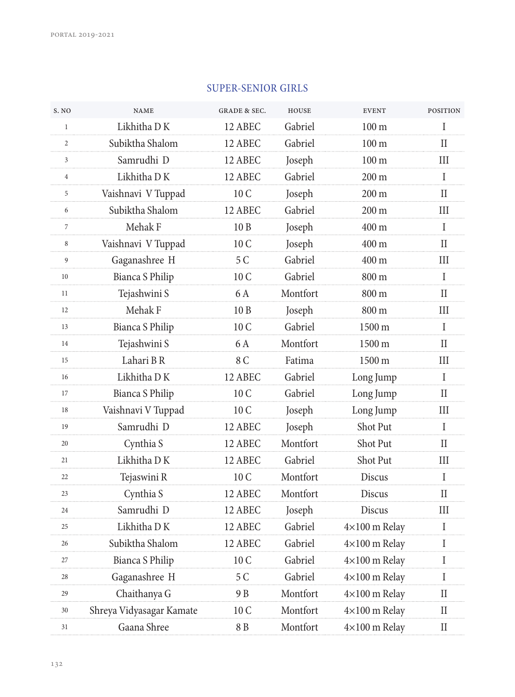## SUPER-SENIOR GIRLS

| S. NO          | <b>NAME</b>              | <b>GRADE &amp; SEC.</b> | <b>HOUSE</b> | <b>EVENT</b>           | <b>POSITION</b>             |
|----------------|--------------------------|-------------------------|--------------|------------------------|-----------------------------|
| $\mathbf{1}$   | Likhitha D K             | 12 ABEC                 | Gabriel      | 100 <sub>m</sub>       | I                           |
| $\overline{c}$ | Subiktha Shalom          | 12 ABEC                 | Gabriel      | 100 <sub>m</sub>       | $\rm II$                    |
| 3              | Samrudhi D               | 12 ABEC                 | Joseph       | $100 \text{ m}$        | Ш                           |
| $\overline{4}$ | Likhitha DK              | 12 ABEC                 | Gabriel      | 200 m                  | $\rm I$                     |
| 5              | Vaishnavi V Tuppad       | 10 C                    | Joseph       | 200 m                  | $_{\rm II}$                 |
| 6              | Subiktha Shalom          | 12 ABEC                 | Gabriel      | $200 \text{ m}$        | $\quad \  \  III$           |
| $\overline{7}$ | Mehak F                  | 10 <sub>B</sub>         | Joseph       | 400 m                  | $\mathbf I$                 |
| 8              | Vaishnavi V Tuppad       | 10 C                    | Joseph       | $400 \text{ m}$        | H                           |
| 9              | Gaganashree H            | 5 C                     | Gabriel      | 400 m                  | Ш                           |
| 10             | Bianca S Philip          | 10 C                    | Gabriel      | 800 m                  | $\rm I$                     |
| 11             | Tejashwini S             | 6A                      | Montfort     | 800 m                  | II                          |
| 12             | Mehak F                  | 10B                     | Joseph       | 800 m                  | $\quad \  \  III$           |
| 13             | <b>Bianca S Philip</b>   | 10 C                    | Gabriel      | 1500 m                 | $\mathbf{I}$                |
| 14             | Tejashwini S             | 6 A                     | Montfort     | 1500 m                 | H                           |
| 15             | Lahari BR                | 8 C                     | Fatima       | 1500 m                 | $\rm III$                   |
| 16             | Likhitha DK              | 12 ABEC                 | Gabriel      | Long Jump              | $\rm I$                     |
| 17             | Bianca S Philip          | 10 C                    | Gabriel      | Long Jump              | II                          |
| 18             | Vaishnavi V Tuppad       | 10 C                    | Joseph       | Long Jump              | $\quad \  \  III$           |
| 19             | Samrudhi D               | 12 ABEC                 | Joseph       | Shot Put               | $\mathbf{I}$                |
| 20             | Cynthia S                | 12 ABEC                 | Montfort     | Shot Put               | H                           |
| 21             | Likhitha DK              | 12 ABEC                 | Gabriel      | Shot Put               | $\rm III$                   |
| 22             | Tejaswini R              | 10 C                    | Montfort     | Discus                 | $\mathbf I$                 |
| 23             | Cynthia S                | 12 ABEC                 | Montfort     | Discus                 | $_{\rm II}$                 |
| 24             | Samrudhi D               | 12 ABEC                 | Joseph       | Discus                 | $\mathop{\rm III}\nolimits$ |
| 25             | Likhitha DK              | 12 ABEC                 | Gabriel      | $4\times100$ m Relay   | $\mathbf{I}$                |
| 26             | Subiktha Shalom          | 12 ABEC                 | Gabriel      | $4\times100$ m Relay   | Ι                           |
| 27             | Bianca S Philip          | 10 C                    | Gabriel      | $4\times100$ m Relay   | $\rm I$                     |
| 28             | Gaganashree H            | 5 C                     | Gabriel      | $4\times100$ m Relay   | T                           |
| 29             | Chaithanya G             | 9 B                     | Montfort     | $4{\times}100$ m Relay | $\rm II$                    |
| 30             | Shreya Vidyasagar Kamate | 10 C                    | Montfort     | 4×100 m Relay          | $\rm II$                    |
| 31             | Gaana Shree              | 8 B                     | Montfort     | 4×100 m Relay          | $\rm II$                    |